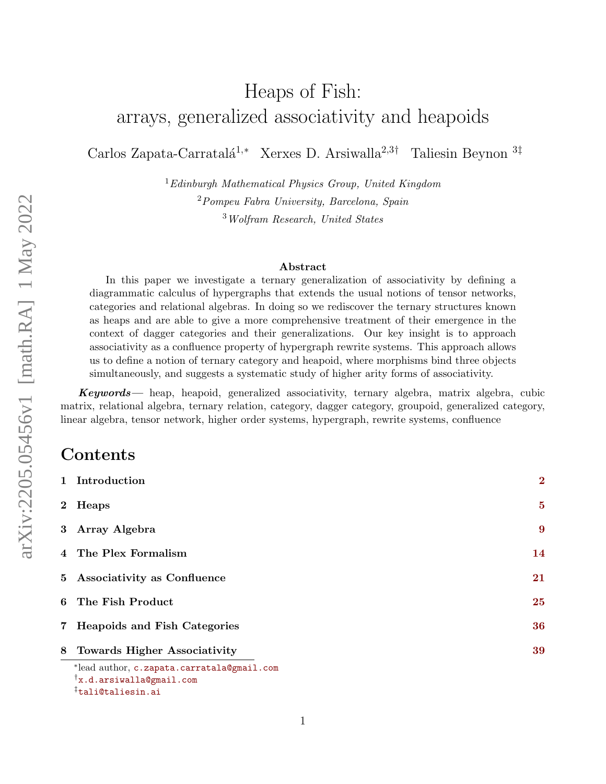# Heaps of Fish: arrays, generalized associativity and heapoids

Carlos Zapata-Carratalá<sup>1,∗</sup> Xerxes D. Arsiwalla<sup>2,3†</sup> Taliesin Beynon <sup>3‡</sup>

 ${}^{1}Edinburgh$  Mathematical Physics Group, United Kingdom <sup>2</sup>Pompeu Fabra University, Barcelona, Spain <sup>3</sup>Wolfram Research, United States

#### Abstract

In this paper we investigate a ternary generalization of associativity by defining a diagrammatic calculus of hypergraphs that extends the usual notions of tensor networks, categories and relational algebras. In doing so we rediscover the ternary structures known as heaps and are able to give a more comprehensive treatment of their emergence in the context of dagger categories and their generalizations. Our key insight is to approach associativity as a confluence property of hypergraph rewrite systems. This approach allows us to define a notion of ternary category and heapoid, where morphisms bind three objects simultaneously, and suggests a systematic study of higher arity forms of associativity.

 $Keywords$ — heap, heapoid, generalized associativity, ternary algebra, matrix algebra, cubic matrix, relational algebra, ternary relation, category, dagger category, groupoid, generalized category, linear algebra, tensor network, higher order systems, hypergraph, rewrite systems, confluence

### **Contents**

| 1 Introduction                                                                    | $\overline{2}$ |
|-----------------------------------------------------------------------------------|----------------|
| 2 Heaps                                                                           | $\overline{5}$ |
| 3 Array Algebra                                                                   | 9              |
| 4 The Plex Formalism                                                              | 14             |
| 5 Associativity as Confluence                                                     | 21             |
| 6 The Fish Product                                                                | 25             |
| 7 Heapoids and Fish Categories                                                    | 36             |
| 8 Towards Higher Associativity                                                    | 39             |
| *lead author, c.zapata.carratala@gmail.com<br>$\mathbf{x}$ .d.arsiwalla@gmail.com |                |
| <sup>‡</sup> tali@taliesin.ai                                                     |                |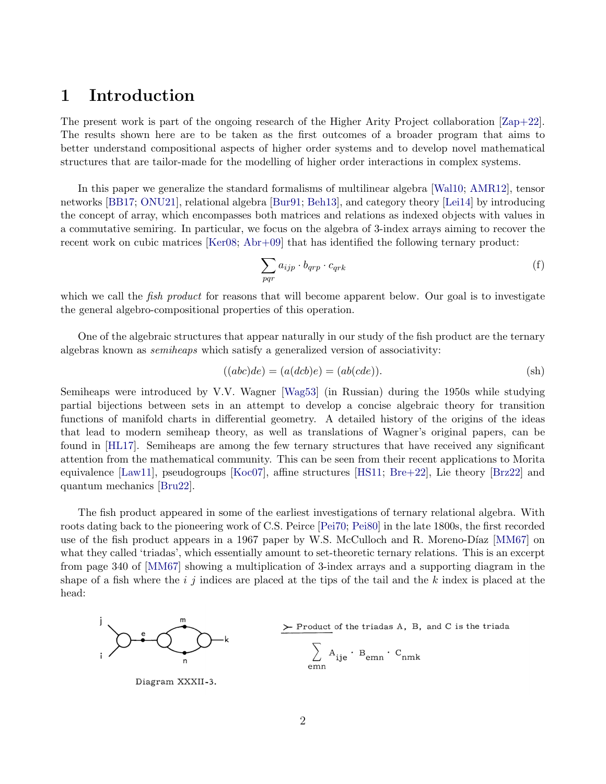# <span id="page-1-0"></span>1 Introduction

The present work is part of the ongoing research of the Higher Arity Project collaboration [\[Zap+22\]](#page-41-0). The results shown here are to be taken as the first outcomes of a broader program that aims to better understand compositional aspects of higher order systems and to develop novel mathematical structures that are tailor-made for the modelling of higher order interactions in complex systems.

In this paper we generalize the standard formalisms of multilinear algebra [\[Wal10;](#page-40-0) [AMR12\]](#page-40-1), tensor networks [\[BB17;](#page-40-2) [ONU21\]](#page-41-1), relational algebra [\[Bur91;](#page-39-0) [Beh13\]](#page-40-3), and category theory [\[Lei14\]](#page-40-4) by introducing the concept of array, which encompasses both matrices and relations as indexed objects with values in a commutative semiring. In particular, we focus on the algebra of 3-index arrays aiming to recover the recent work on cubic matrices [\[Ker08;](#page-40-5) [Abr+09\]](#page-40-6) that has identified the following ternary product:

<span id="page-1-2"></span><span id="page-1-1"></span>
$$
\sum_{pqr} a_{ijp} \cdot b_{qrp} \cdot c_{qrk} \tag{f}
$$

which we call the *fish product* for reasons that will become apparent below. Our goal is to investigate the general algebro-compositional properties of this operation.

One of the algebraic structures that appear naturally in our study of the fish product are the ternary algebras known as semiheaps which satisfy a generalized version of associativity:

$$
((abc)de) = (a(dcb)e) = (ab(cde)).
$$
 (sh)

Semiheaps were introduced by V.V. Wagner [\[Wag53\]](#page-39-1) (in Russian) during the 1950s while studying partial bijections between sets in an attempt to develop a concise algebraic theory for transition functions of manifold charts in differential geometry. A detailed history of the origins of the ideas that lead to modern semiheap theory, as well as translations of Wagner's original papers, can be found in [\[HL17\]](#page-41-2). Semiheaps are among the few ternary structures that have received any significant attention from the mathematical community. This can be seen from their recent applications to Morita equivalence [\[Law11\]](#page-40-7), pseudogroups [\[Koc07\]](#page-40-8), affine structures [\[HS11;](#page-40-9) [Bre+22\]](#page-41-3), Lie theory [\[Brz22\]](#page-41-4) and quantum mechanics [\[Bru22\]](#page-41-5).

The fish product appeared in some of the earliest investigations of ternary relational algebra. With roots dating back to the pioneering work of C.S. Peirce [\[Pei70;](#page-39-2) [Pei80\]](#page-39-3) in the late 1800s, the first recorded use of the fish product appears in a 1967 paper by W.S. McCulloch and R. Moreno-Díaz [\[MM67\]](#page-39-4) on what they called 'triadas', which essentially amount to set-theoretic ternary relations. This is an excerpt from page 340 of [\[MM67\]](#page-39-4) showing a multiplication of 3-index arrays and a supporting diagram in the shape of a fish where the  $i$  j indices are placed at the tips of the tail and the k index is placed at the head:



Diagram XXXII-3.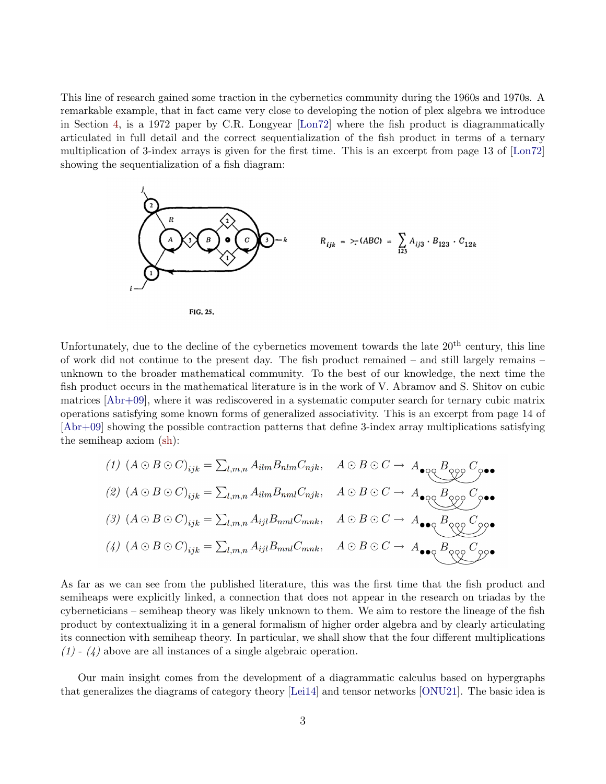This line of research gained some traction in the cybernetics community during the 1960s and 1970s. A remarkable example, that in fact came very close to developing the notion of plex algebra we introduce in Section [4,](#page-13-0) is a 1972 paper by C.R. Longyear [\[Lon72\]](#page-39-5) where the fish product is diagrammatically articulated in full detail and the correct sequentialization of the fish product in terms of a ternary multiplication of 3-index arrays is given for the first time. This is an excerpt from page 13 of [\[Lon72\]](#page-39-5) showing the sequentialization of a fish diagram:



Unfortunately, due to the decline of the cybernetics movement towards the late  $20<sup>th</sup>$  century, this line of work did not continue to the present day. The fish product remained – and still largely remains – unknown to the broader mathematical community. To the best of our knowledge, the next time the fish product occurs in the mathematical literature is in the work of V. Abramov and S. Shitov on cubic matrices [\[Abr+09\]](#page-40-6), where it was rediscovered in a systematic computer search for ternary cubic matrix operations satisfying some known forms of generalized associativity. This is an excerpt from page 14 of [\[Abr+09\]](#page-40-6) showing the possible contraction patterns that define 3-index array multiplications satisfying the semiheap axiom [\(sh\)](#page-1-1):

(1) 
$$
(A \odot B \odot C)_{ijk} = \sum_{l,m,n} A_{ilm} B_{nlm} C_{njk}
$$
,  $A \odot B \odot C \rightarrow A_{\bullet \circ \underset{l}{\circ \underset{l}{\circ \underset{l}{\circ \underset{l}{\circ \underset{l}{\circ \underset{l}{\circ \underset{l}{\circ \underset{l}{\circ \underset{l}{\circ \underset{l}{\circ \underset{l}{\circ \underset{l}{\circ \underset{l}{\circ \underset{l}{\circ \underset{l}{\circ \underset{l}{\circ \underset{l}{\circ \underset{l}{\circ \underset{l}{\circ \underset{l}{\circ \underset{l}{\circ \underset{l}{\circ \underset{l}{\circ \underset{l}{\circ \underset{l}{\circ \underset{l}{\circ \underset{l}{\circ \underset{l}{\circ \underset{l}{\circ \underset{l}{\circ \underset{l}{\circ \underset{l}{\circ \underset{l}{\circ \underset{l}{\circ \underset{l}{\circ \underset{l}{\circ \underset{l}{\circ \underset{l}{\circ \underset{l}{\circ \underset{l}{\circ \underset{l}{\circ \underset{l}{\circ \underset{l}{\circ \underset{l}{\circ \underset{l}{\circ \underset{l}{\circ \underset{l}{\circ \underset{l}{\circ \underset{l}{\circ \underset{l}{\circ \underset{l}{\circ \underset{l}{\circ \underset{l}{\circ \underset{l}{\circ \underset{l}{\circ \underset{l}{\circ \underset{l}{\circ \underset{l}{\circ \underset{l}{\circ \underset{l}{\circ \underset{l}{\circ \underset{l}{\circ \underset{l}{\circ \underset{l}{\circ \underset{l}{\circ \underset{l}{\circ \underset{l}{\circ \underset{l}{\circ \underset{l}{\circ \underset{l}{\circ \underset{l}{\circ \underset{l}{\circ \underset{l}{\circ \underset{l}{\circ \underset{l}{\circ \underset{l}{\circ \underset{l}{\circ \underset{l}{\circ \underset{l}{\circ \underset{l}{\circ \underset{l}{\circ \underset{l}{\circ \underset{l}{\circ \underset{l}{\circ \underset{l}{\circ \underset{l}{\circ \underset{l}{\circ \underset{l}{\circ \underset{l}{\circ \underset{l}{\circ \underset{l}{\circ \underset{l}{\circ \underset{l}{\circ \underset{l}{\circ \underset{l}{\circ \underset{l}{\circ \underset{l}{\circ \underset{l}{\circ \underset{l}{\circ \underset{l}{\circ \underset$ 

As far as we can see from the published literature, this was the first time that the fish product and semiheaps were explicitly linked, a connection that does not appear in the research on triadas by the cyberneticians – semiheap theory was likely unknown to them. We aim to restore the lineage of the fish product by contextualizing it in a general formalism of higher order algebra and by clearly articulating its connection with semiheap theory. In particular, we shall show that the four different multiplications  $(1)$  -  $(4)$  above are all instances of a single algebraic operation.

Our main insight comes from the development of a diagrammatic calculus based on hypergraphs that generalizes the diagrams of category theory [\[Lei14\]](#page-40-4) and tensor networks [\[ONU21\]](#page-41-1). The basic idea is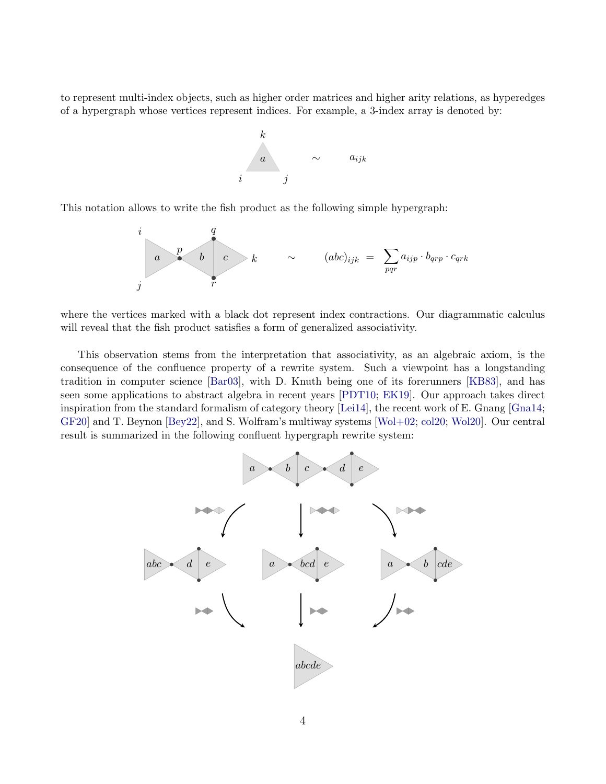to represent multi-index objects, such as higher order matrices and higher arity relations, as hyperedges of a hypergraph whose vertices represent indices. For example, a 3-index array is denoted by:



This notation allows to write the fish product as the following simple hypergraph:



where the vertices marked with a black dot represent index contractions. Our diagrammatic calculus will reveal that the fish product satisfies a form of generalized associativity.

This observation stems from the interpretation that associativity, as an algebraic axiom, is the consequence of the confluence property of a rewrite system. Such a viewpoint has a longstanding tradition in computer science [\[Bar03\]](#page-40-10), with D. Knuth being one of its forerunners [\[KB83\]](#page-39-6), and has seen some applications to abstract algebra in recent years [\[PDT10;](#page-40-11) [EK19\]](#page-41-6). Our approach takes direct inspiration from the standard formalism of category theory [\[Lei14\]](#page-40-4), the recent work of E. Gnang [\[Gna14;](#page-40-12) [GF20\]](#page-41-7) and T. Beynon [\[Bey22\]](#page-41-8), and S. Wolfram's multiway systems [\[Wol+02;](#page-40-13) [col20;](#page-41-9) [Wol20\]](#page-41-10). Our central result is summarized in the following confluent hypergraph rewrite system:

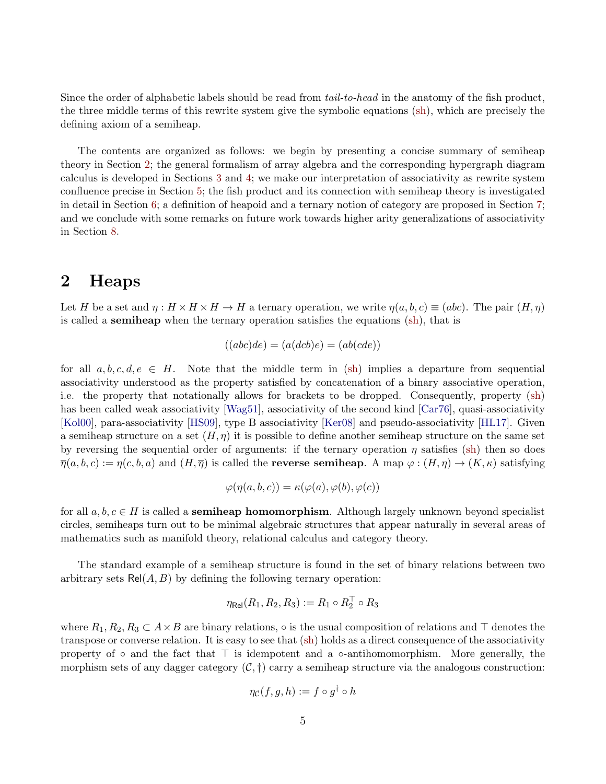Since the order of alphabetic labels should be read from *tail-to-head* in the anatomy of the fish product, the three middle terms of this rewrite system give the symbolic equations [\(sh\)](#page-1-1), which are precisely the defining axiom of a semiheap.

The contents are organized as follows: we begin by presenting a concise summary of semiheap theory in Section [2;](#page-4-0) the general formalism of array algebra and the corresponding hypergraph diagram calculus is developed in Sections [3](#page-8-0) and [4;](#page-13-0) we make our interpretation of associativity as rewrite system confluence precise in Section [5;](#page-20-0) the fish product and its connection with semiheap theory is investigated in detail in Section [6;](#page-24-0) a definition of heapoid and a ternary notion of category are proposed in Section [7;](#page-35-0) and we conclude with some remarks on future work towards higher arity generalizations of associativity in Section [8.](#page-38-0)

# <span id="page-4-0"></span>2 Heaps

Let H be a set and  $\eta : H \times H \times H \to H$  a ternary operation, we write  $\eta(a, b, c) \equiv (abc)$ . The pair  $(H, \eta)$ is called a semiheap when the ternary operation satisfies the equations [\(sh\)](#page-1-1), that is

$$
((abc)de) = (a(dcb)e) = (ab(cde))
$$

for all  $a, b, c, d, e \in H$ . Note that the middle term in [\(sh\)](#page-1-1) implies a departure from sequential associativity understood as the property satisfied by concatenation of a binary associative operation, i.e. the property that notationally allows for brackets to be dropped. Consequently, property [\(sh\)](#page-1-1) has been called weak associativity [\[Wag51\]](#page-39-7), associativity of the second kind [\[Car76\]](#page-39-8), quasi-associativity [\[Kol00\]](#page-39-9), para-associativity [\[HS09\]](#page-40-14), type B associativity [\[Ker08\]](#page-40-5) and pseudo-associativity [\[HL17\]](#page-41-2). Given a semiheap structure on a set  $(H, \eta)$  it is possible to define another semiheap structure on the same set by reversing the sequential order of arguments: if the ternary operation  $\eta$  satisfies [\(sh\)](#page-1-1) then so does  $\overline{\eta}(a, b, c) := \eta(c, b, a)$  and  $(H, \overline{\eta})$  is called the **reverse semiheap**. A map  $\varphi : (H, \eta) \to (K, \kappa)$  satisfying

$$
\varphi(\eta(a,b,c)) = \kappa(\varphi(a), \varphi(b), \varphi(c))
$$

for all  $a, b, c \in H$  is called a **semiheap homomorphism**. Although largely unknown beyond specialist circles, semiheaps turn out to be minimal algebraic structures that appear naturally in several areas of mathematics such as manifold theory, relational calculus and category theory.

The standard example of a semiheap structure is found in the set of binary relations between two arbitrary sets  $Rel(A, B)$  by defining the following ternary operation:

$$
\eta_\mathsf{Rel}(R_1,R_2,R_3):=R_1 \circ R_2^\top \circ R_3
$$

where  $R_1, R_2, R_3 \subset A \times B$  are binary relations,  $\circ$  is the usual composition of relations and  $\top$  denotes the transpose or converse relation. It is easy to see that [\(sh\)](#page-1-1) holds as a direct consequence of the associativity property of ∘ and the fact that  $\top$  is idempotent and a ∘-antihomomorphism. More generally, the morphism sets of any dagger category  $(C, \dagger)$  carry a semiheap structure via the analogous construction:

$$
\eta_{\mathcal{C}}(f,g,h):=f\circ g^{\dagger}\circ h
$$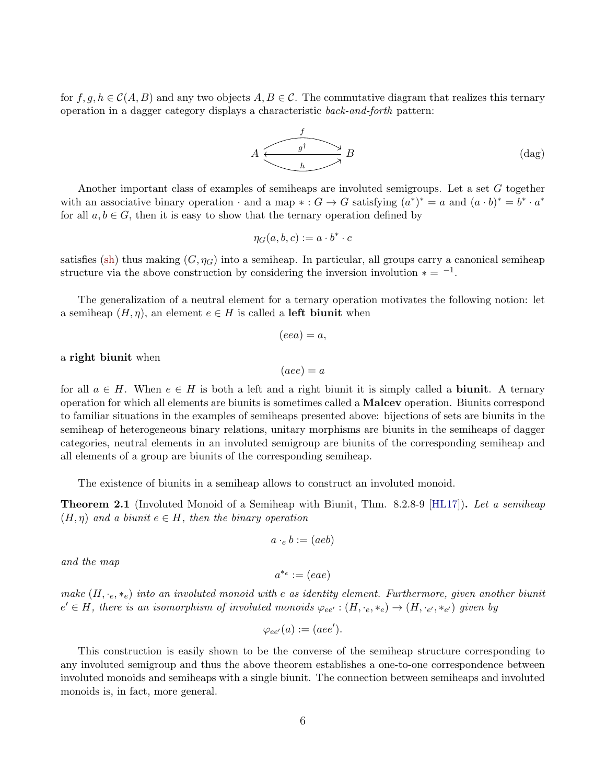for  $f, g, h \in \mathcal{C}(A, B)$  and any two objects  $A, B \in \mathcal{C}$ . The commutative diagram that realizes this ternary operation in a dagger category displays a characteristic back-and-forth pattern:

<span id="page-5-1"></span>
$$
A \xrightarrow{\qquad \qquad f \qquad \qquad } B \qquad \qquad \text{(dag)}
$$

Another important class of examples of semiheaps are involuted semigroups. Let a set G together with an associative binary operation  $\cdot$  and a map  $\ast : G \to G$  satisfying  $(a^*)^* = a$  and  $(a \cdot b)^* = b^* \cdot a^*$ for all  $a, b \in G$ , then it is easy to show that the ternary operation defined by

$$
\eta_G(a,b,c) := a \cdot b^* \cdot c
$$

satisfies [\(sh\)](#page-1-1) thus making  $(G, \eta_G)$  into a semiheap. In particular, all groups carry a canonical semiheap structure via the above construction by considering the inversion involution  $* = -1$ .

The generalization of a neutral element for a ternary operation motivates the following notion: let a semiheap  $(H, \eta)$ , an element  $e \in H$  is called a **left biunit** when

$$
(eea) = a,
$$

#### a right biunit when

$$
(aee) = a
$$

for all  $a \in H$ . When  $e \in H$  is both a left and a right biunit it is simply called a **biunit**. A ternary operation for which all elements are biunits is sometimes called a Malcev operation. Biunits correspond to familiar situations in the examples of semiheaps presented above: bijections of sets are biunits in the semiheap of heterogeneous binary relations, unitary morphisms are biunits in the semiheaps of dagger categories, neutral elements in an involuted semigroup are biunits of the corresponding semiheap and all elements of a group are biunits of the corresponding semiheap.

The existence of biunits in a semiheap allows to construct an involuted monoid.

<span id="page-5-0"></span>**Theorem 2.1** (Involuted Monoid of a Semiheap with Biunit, Thm. 8.2.8-9 [\[HL17\]](#page-41-2)). Let a semiheap  $(H, \eta)$  and a biunit  $e \in H$ , then the binary operation

$$
a \cdot_e b := (a e b)
$$

and the map

$$
a^{*_e} := (eae)
$$

make  $(H, \cdot_e, \cdot_e)$  into an involuted monoid with e as identity element. Furthermore, given another biunit  $e' \in H$ , there is an isomorphism of involuted monoids  $\varphi_{ee'} : (H, \cdot_e, \ast_e) \to (H, \cdot_{e'}, \ast_{e'})$  given by

$$
\varphi_{ee'}(a) := (aee').
$$

This construction is easily shown to be the converse of the semiheap structure corresponding to any involuted semigroup and thus the above theorem establishes a one-to-one correspondence between involuted monoids and semiheaps with a single biunit. The connection between semiheaps and involuted monoids is, in fact, more general.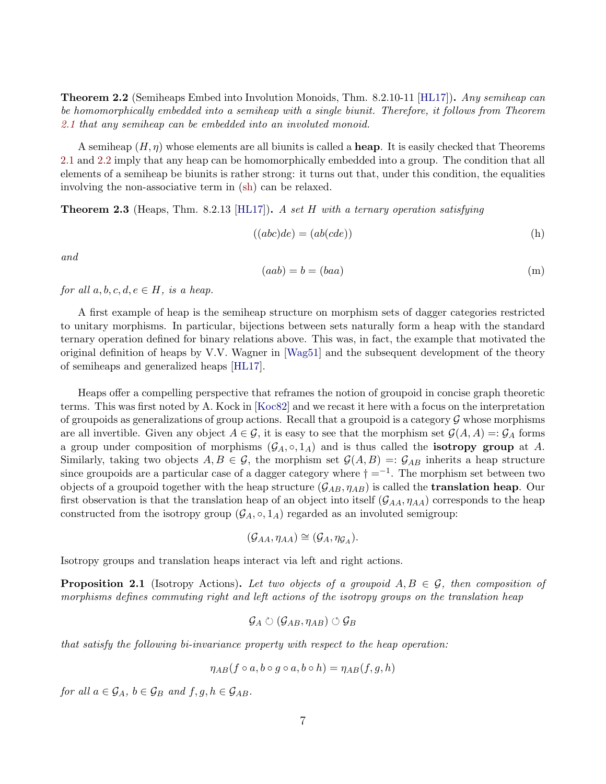<span id="page-6-0"></span>Theorem 2.2 (Semiheaps Embed into Involution Monoids, Thm. 8.2.10-11 [\[HL17\]](#page-41-2)). Any semiheap can be homomorphically embedded into a semiheap with a single biunit. Therefore, it follows from Theorem [2.1](#page-5-0) that any semiheap can be embedded into an involuted monoid.

A semiheap  $(H, \eta)$  whose elements are all biunits is called a **heap**. It is easily checked that Theorems [2.1](#page-5-0) and [2.2](#page-6-0) imply that any heap can be homomorphically embedded into a group. The condition that all elements of a semiheap be biunits is rather strong: it turns out that, under this condition, the equalities involving the non-associative term in [\(sh\)](#page-1-1) can be relaxed.

**Theorem 2.3** (Heaps, Thm. 8.2.13 [\[HL17\]](#page-41-2)). A set H with a ternary operation satisfying

$$
((abc)de) = (ab(cde))
$$
 (h)

and

$$
(aab) = b = (baa) \tag{m}
$$

for all  $a, b, c, d, e \in H$ , is a heap.

A first example of heap is the semiheap structure on morphism sets of dagger categories restricted to unitary morphisms. In particular, bijections between sets naturally form a heap with the standard ternary operation defined for binary relations above. This was, in fact, the example that motivated the original definition of heaps by V.V. Wagner in [\[Wag51\]](#page-39-7) and the subsequent development of the theory of semiheaps and generalized heaps [\[HL17\]](#page-41-2).

Heaps offer a compelling perspective that reframes the notion of groupoid in concise graph theoretic terms. This was first noted by A. Kock in [\[Koc82\]](#page-39-10) and we recast it here with a focus on the interpretation of groupoids as generalizations of group actions. Recall that a groupoid is a category  $\mathcal G$  whose morphisms are all invertible. Given any object  $A \in \mathcal{G}$ , it is easy to see that the morphism set  $\mathcal{G}(A, A) = \mathcal{G}_A$  forms a group under composition of morphisms  $(\mathcal{G}_A, \circ, 1_A)$  and is thus called the **isotropy group** at A. Similarly, taking two objects  $A, B \in \mathcal{G}$ , the morphism set  $\mathcal{G}(A, B) = \mathcal{G}_{AB}$  inherits a heap structure since groupoids are a particular case of a dagger category where  $\dagger =^{-1}$ . The morphism set between two objects of a groupoid together with the heap structure  $(\mathcal{G}_{AB}, \eta_{AB})$  is called the **translation heap**. Our first observation is that the translation heap of an object into itself  $(G_{AA}, \eta_{AA})$  corresponds to the heap constructed from the isotropy group  $(\mathcal{G}_A, \circ, 1_A)$  regarded as an involuted semigroup:

$$
(\mathcal{G}_{AA}, \eta_{AA}) \cong (\mathcal{G}_A, \eta_{\mathcal{G}_A}).
$$

Isotropy groups and translation heaps interact via left and right actions.

**Proposition 2.1** (Isotropy Actions). Let two objects of a groupoid  $A, B \in \mathcal{G}$ , then composition of morphisms defines commuting right and left actions of the isotropy groups on the translation heap

$$
\mathcal{G}_A\circlearrowright (\mathcal{G}_{AB},\eta_{AB})\circlearrowleft \mathcal{G}_B
$$

that satisfy the following bi-invariance property with respect to the heap operation:

$$
\eta_{AB}(f \circ a, b \circ g \circ a, b \circ h) = \eta_{AB}(f, g, h)
$$

for all  $a \in \mathcal{G}_A$ ,  $b \in \mathcal{G}_B$  and  $f, g, h \in \mathcal{G}_{AB}$ .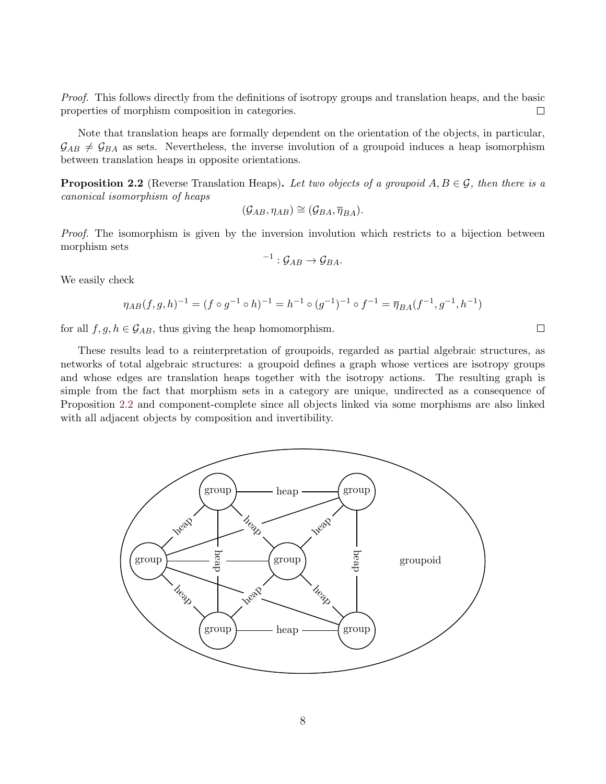Proof. This follows directly from the definitions of isotropy groups and translation heaps, and the basic properties of morphism composition in categories.  $\Box$ 

Note that translation heaps are formally dependent on the orientation of the objects, in particular,  $\mathcal{G}_{AB} \neq \mathcal{G}_{BA}$  as sets. Nevertheless, the inverse involution of a groupoid induces a heap isomorphism between translation heaps in opposite orientations.

<span id="page-7-0"></span>**Proposition 2.2** (Reverse Translation Heaps). Let two objects of a groupoid  $A, B \in \mathcal{G}$ , then there is a canonical isomorphism of heaps

$$
(\mathcal{G}_{AB}, \eta_{AB}) \cong (\mathcal{G}_{BA}, \overline{\eta}_{BA}).
$$

Proof. The isomorphism is given by the inversion involution which restricts to a bijection between morphism sets

$$
^{-1}:\mathcal{G}_{AB}\rightarrow \mathcal{G}_{BA}.
$$

We easily check

$$
\eta_{AB}(f,g,h)^{-1} = (f \circ g^{-1} \circ h)^{-1} = h^{-1} \circ (g^{-1})^{-1} \circ f^{-1} = \overline{\eta}_{BA}(f^{-1},g^{-1},h^{-1})
$$

for all  $f, g, h \in \mathcal{G}_{AB}$ , thus giving the heap homomorphism.

These results lead to a reinterpretation of groupoids, regarded as partial algebraic structures, as networks of total algebraic structures: a groupoid defines a graph whose vertices are isotropy groups and whose edges are translation heaps together with the isotropy actions. The resulting graph is simple from the fact that morphism sets in a category are unique, undirected as a consequence of Proposition [2.2](#page-7-0) and component-complete since all objects linked via some morphisms are also linked with all adjacent objects by composition and invertibility.



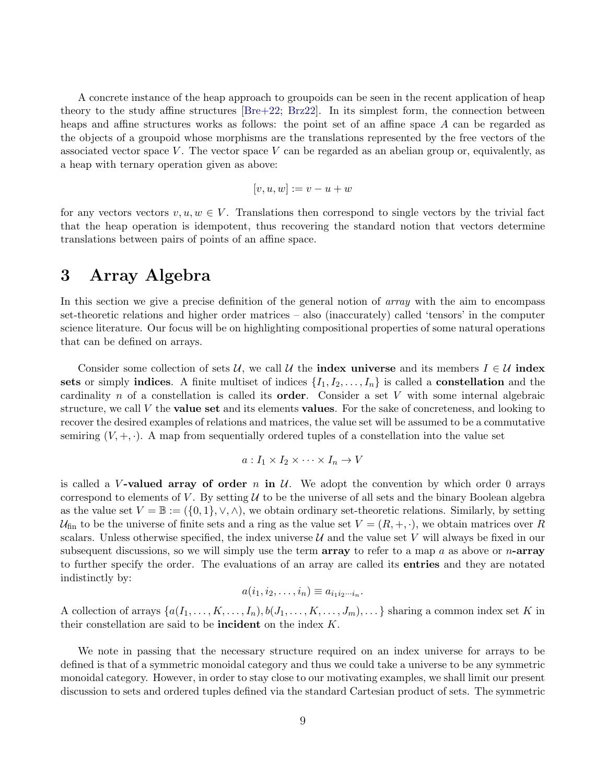A concrete instance of the heap approach to groupoids can be seen in the recent application of heap theory to the study affine structures [\[Bre+22;](#page-41-3) [Brz22\]](#page-41-4). In its simplest form, the connection between heaps and affine structures works as follows: the point set of an affine space A can be regarded as the objects of a groupoid whose morphisms are the translations represented by the free vectors of the associated vector space V. The vector space V can be regarded as an abelian group or, equivalently, as a heap with ternary operation given as above:

$$
[v, u, w] := v - u + w
$$

for any vectors vectors  $v, u, w \in V$ . Translations then correspond to single vectors by the trivial fact that the heap operation is idempotent, thus recovering the standard notion that vectors determine translations between pairs of points of an affine space.

### <span id="page-8-0"></span>3 Array Algebra

In this section we give a precise definition of the general notion of *array* with the aim to encompass set-theoretic relations and higher order matrices – also (inaccurately) called 'tensors' in the computer science literature. Our focus will be on highlighting compositional properties of some natural operations that can be defined on arrays.

Consider some collection of sets U, we call U the **index universe** and its members  $I \in U$  index sets or simply indices. A finite multiset of indices  $\{I_1, I_2, \ldots, I_n\}$  is called a **constellation** and the cardinality n of a constellation is called its **order**. Consider a set  $V$  with some internal algebraic structure, we call  $V$  the **value set** and its elements **values**. For the sake of concreteness, and looking to recover the desired examples of relations and matrices, the value set will be assumed to be a commutative semiring  $(V, +, \cdot)$ . A map from sequentially ordered tuples of a constellation into the value set

$$
a: I_1 \times I_2 \times \cdots \times I_n \to V
$$

is called a V-valued array of order n in  $\mathcal{U}$ . We adopt the convention by which order 0 arrays correspond to elements of V. By setting  $U$  to be the universe of all sets and the binary Boolean algebra as the value set  $V = \mathbb{B} := (\{0,1\}, \vee, \wedge)$ , we obtain ordinary set-theoretic relations. Similarly, by setting  $U_{fin}$  to be the universe of finite sets and a ring as the value set  $V = (R, +, \cdot)$ , we obtain matrices over R scalars. Unless otherwise specified, the index universe  $\mathcal U$  and the value set V will always be fixed in our subsequent discussions, so we will simply use the term **array** to refer to a map a as above or n-**array** to further specify the order. The evaluations of an array are called its entries and they are notated indistinctly by:

$$
a(i_1,i_2,\ldots,i_n)\equiv a_{i_1i_2\cdots i_n}.
$$

A collection of arrays  $\{a(I_1, \ldots, K, \ldots, I_n), b(J_1, \ldots, K, \ldots, J_m), \ldots\}$  sharing a common index set K in their constellation are said to be incident on the index K.

We note in passing that the necessary structure required on an index universe for arrays to be defined is that of a symmetric monoidal category and thus we could take a universe to be any symmetric monoidal category. However, in order to stay close to our motivating examples, we shall limit our present discussion to sets and ordered tuples defined via the standard Cartesian product of sets. The symmetric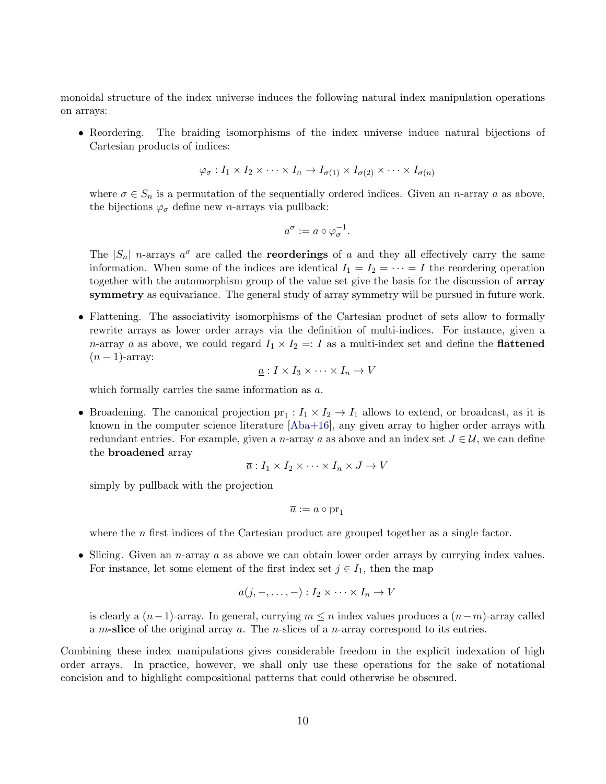monoidal structure of the index universe induces the following natural index manipulation operations on arrays:

• Reordering. The braiding isomorphisms of the index universe induce natural bijections of Cartesian products of indices:

$$
\varphi_{\sigma}: I_1 \times I_2 \times \cdots \times I_n \to I_{\sigma(1)} \times I_{\sigma(2)} \times \cdots \times I_{\sigma(n)}
$$

where  $\sigma \in S_n$  is a permutation of the sequentially ordered indices. Given an *n*-array a as above, the bijections  $\varphi_{\sigma}$  define new *n*-arrays via pullback:

$$
a^{\sigma} := a \circ \varphi_{\sigma}^{-1}.
$$

The  $|S_n|$  n-arrays  $a^{\sigma}$  are called the **reorderings** of a and they all effectively carry the same information. When some of the indices are identical  $I_1 = I_2 = \cdots = I$  the reordering operation together with the automorphism group of the value set give the basis for the discussion of array symmetry as equivariance. The general study of array symmetry will be pursued in future work.

• Flattening. The associativity isomorphisms of the Cartesian product of sets allow to formally rewrite arrays as lower order arrays via the definition of multi-indices. For instance, given a *n*-array *a* as above, we could regard  $I_1 \times I_2 =: I$  as a multi-index set and define the **flattened**  $(n-1)$ -array:

$$
\underline{a}: I \times I_3 \times \cdots \times I_n \to V
$$

which formally carries the same information as a.

• Broadening. The canonical projection  $pr_1: I_1 \times I_2 \to I_1$  allows to extend, or broadcast, as it is known in the computer science literature  $[Aba+16]$ , any given array to higher order arrays with redundant entries. For example, given a n-array a as above and an index set  $J \in \mathcal{U}$ , we can define the broadened array

$$
\overline{a}: I_1 \times I_2 \times \cdots \times I_n \times J \to V
$$

simply by pullback with the projection

$$
\overline{a} := a \circ \operatorname{pr}_1
$$

where the  $n$  first indices of the Cartesian product are grouped together as a single factor.

• Slicing. Given an *n*-array  $a$  as above we can obtain lower order arrays by currying index values. For instance, let some element of the first index set  $j \in I_1$ , then the map

$$
a(j,-,\ldots,-): I_2 \times \cdots \times I_n \to V
$$

is clearly a  $(n-1)$ -array. In general, currying  $m \leq n$  index values produces a  $(n-m)$ -array called a m-slice of the original array a. The n-slices of a n-array correspond to its entries.

Combining these index manipulations gives considerable freedom in the explicit indexation of high order arrays. In practice, however, we shall only use these operations for the sake of notational concision and to highlight compositional patterns that could otherwise be obscured.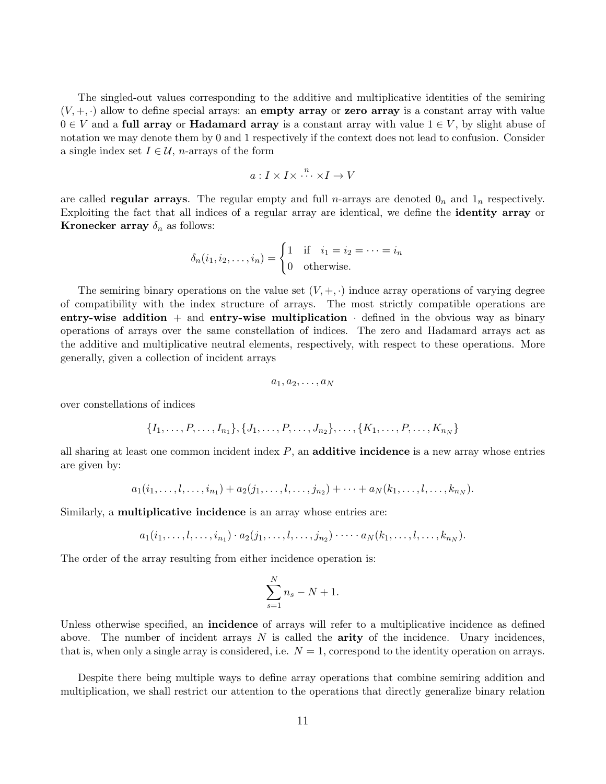The singled-out values corresponding to the additive and multiplicative identities of the semiring  $(V, +, \cdot)$  allow to define special arrays: an **empty array** or **zero array** is a constant array with value  $0 \in V$  and a **full array** or **Hadamard array** is a constant array with value  $1 \in V$ , by slight abuse of notation we may denote them by 0 and 1 respectively if the context does not lead to confusion. Consider a single index set  $I \in \mathcal{U}$ , *n*-arrays of the form

$$
a: I \times I \times \stackrel{n}{\cdots} \times I \to V
$$

are called **regular arrays**. The regular empty and full *n*-arrays are denoted  $0<sub>n</sub>$  and  $1<sub>n</sub>$  respectively. Exploiting the fact that all indices of a regular array are identical, we define the identity array or **Kronecker array**  $\delta_n$  as follows:

$$
\delta_n(i_1, i_2, \dots, i_n) = \begin{cases} 1 & \text{if } i_1 = i_2 = \dots = i_n \\ 0 & \text{otherwise.} \end{cases}
$$

The semiring binary operations on the value set  $(V, +, \cdot)$  induce array operations of varying degree of compatibility with the index structure of arrays. The most strictly compatible operations are entry-wise addition  $+$  and entry-wise multiplication  $\cdot$  defined in the obvious way as binary operations of arrays over the same constellation of indices. The zero and Hadamard arrays act as the additive and multiplicative neutral elements, respectively, with respect to these operations. More generally, given a collection of incident arrays

$$
a_1, a_2, \ldots, a_N
$$

over constellations of indices

$$
\{I_1, \ldots, P, \ldots, I_{n_1}\}, \{J_1, \ldots, P, \ldots, J_{n_2}\}, \ldots, \{K_1, \ldots, P, \ldots, K_{n_N}\}\
$$

all sharing at least one common incident index  $P$ , an additive incidence is a new array whose entries are given by:

$$
a_1(i_1,\ldots,l,\ldots,i_{n_1})+a_2(j_1,\ldots,l,\ldots,j_{n_2})+\cdots+a_N(k_1,\ldots,l,\ldots,k_{n_N}).
$$

Similarly, a **multiplicative incidence** is an array whose entries are:

$$
a_1(i_1,\ldots,l,\ldots,i_{n_1})\cdot a_2(j_1,\ldots,l,\ldots,j_{n_2})\cdot\cdots\cdot a_N(k_1,\ldots,l,\ldots,k_{n_N}).
$$

The order of the array resulting from either incidence operation is:

$$
\sum_{s=1}^{N} n_s - N + 1.
$$

Unless otherwise specified, an **incidence** of arrays will refer to a multiplicative incidence as defined above. The number of incident arrays  $N$  is called the **arity** of the incidence. Unary incidences, that is, when only a single array is considered, i.e.  $N = 1$ , correspond to the identity operation on arrays.

Despite there being multiple ways to define array operations that combine semiring addition and multiplication, we shall restrict our attention to the operations that directly generalize binary relation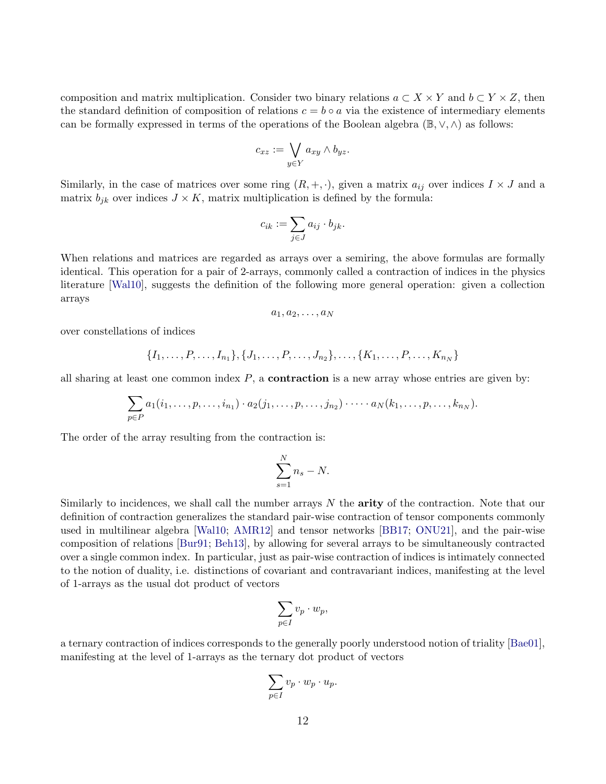composition and matrix multiplication. Consider two binary relations  $a \subset X \times Y$  and  $b \subset Y \times Z$ , then the standard definition of composition of relations  $c = b \circ a$  via the existence of intermediary elements can be formally expressed in terms of the operations of the Boolean algebra ( $\mathbb{B}, \vee, \wedge$ ) as follows:

$$
c_{xz} := \bigvee_{y \in Y} a_{xy} \wedge b_{yz}.
$$

Similarly, in the case of matrices over some ring  $(R, +, \cdot)$ , given a matrix  $a_{ij}$  over indices  $I \times J$  and a matrix  $b_{jk}$  over indices  $J \times K$ , matrix multiplication is defined by the formula:

$$
c_{ik} := \sum_{j \in J} a_{ij} \cdot b_{jk}.
$$

When relations and matrices are regarded as arrays over a semiring, the above formulas are formally identical. This operation for a pair of 2-arrays, commonly called a contraction of indices in the physics literature [\[Wal10\]](#page-40-0), suggests the definition of the following more general operation: given a collection arrays

$$
a_1, a_2, \ldots, a_N
$$

over constellations of indices

$$
\{I_1, \ldots, P, \ldots, I_{n_1}\}, \{J_1, \ldots, P, \ldots, J_{n_2}\}, \ldots, \{K_1, \ldots, P, \ldots, K_{n_N}\}\
$$

all sharing at least one common index  $P$ , a **contraction** is a new array whose entries are given by:

$$
\sum_{p\in P} a_1(i_1,\ldots,p,\ldots,i_{n_1})\cdot a_2(j_1,\ldots,p,\ldots,j_{n_2})\cdot\cdots\cdot a_N(k_1,\ldots,p,\ldots,k_{n_N}).
$$

The order of the array resulting from the contraction is:

$$
\sum_{s=1}^{N} n_s - N.
$$

Similarly to incidences, we shall call the number arrays  $N$  the **arity** of the contraction. Note that our definition of contraction generalizes the standard pair-wise contraction of tensor components commonly used in multilinear algebra [\[Wal10;](#page-40-0) [AMR12\]](#page-40-1) and tensor networks [\[BB17;](#page-40-2) [ONU21\]](#page-41-1), and the pair-wise composition of relations [\[Bur91;](#page-39-0) [Beh13\]](#page-40-3), by allowing for several arrays to be simultaneously contracted over a single common index. In particular, just as pair-wise contraction of indices is intimately connected to the notion of duality, i.e. distinctions of covariant and contravariant indices, manifesting at the level of 1-arrays as the usual dot product of vectors

$$
\sum_{p\in I} v_p \cdot w_p,
$$

a ternary contraction of indices corresponds to the generally poorly understood notion of triality [\[Bae01\]](#page-40-16), manifesting at the level of 1-arrays as the ternary dot product of vectors

$$
\sum_{p\in I} v_p \cdot w_p \cdot u_p.
$$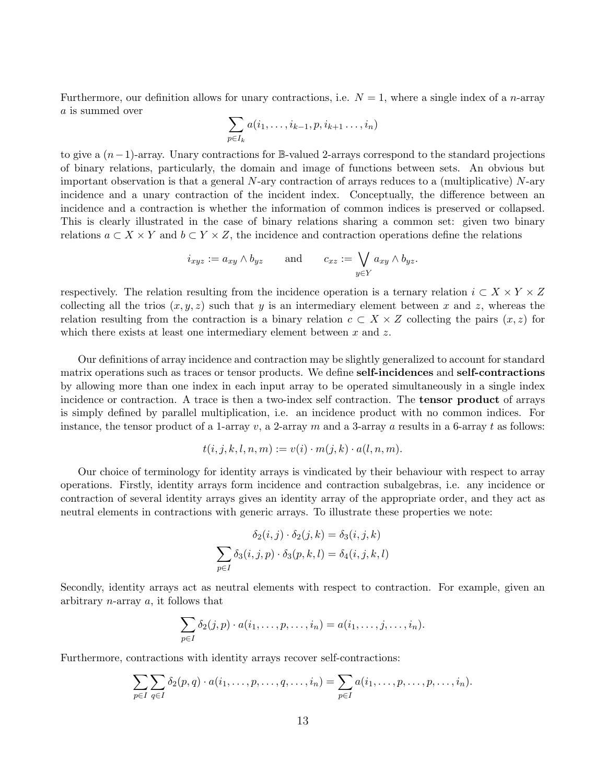Furthermore, our definition allows for unary contractions, i.e.  $N = 1$ , where a single index of a *n*-array a is summed over

$$
\sum_{p\in I_k} a(i_1,\ldots,i_{k-1},p,i_{k+1}\ldots,i_n)
$$

to give a (n−1)-array. Unary contractions for B-valued 2-arrays correspond to the standard projections of binary relations, particularly, the domain and image of functions between sets. An obvious but important observation is that a general  $N$ -ary contraction of arrays reduces to a (multiplicative)  $N$ -ary incidence and a unary contraction of the incident index. Conceptually, the difference between an incidence and a contraction is whether the information of common indices is preserved or collapsed. This is clearly illustrated in the case of binary relations sharing a common set: given two binary relations  $a \subset X \times Y$  and  $b \subset Y \times Z$ , the incidence and contraction operations define the relations

$$
i_{xyz} := a_{xy} \wedge b_{yz}
$$
 and  $c_{xz} := \bigvee_{y \in Y} a_{xy} \wedge b_{yz}.$ 

respectively. The relation resulting from the incidence operation is a ternary relation  $i \subset X \times Y \times Z$ collecting all the trios  $(x, y, z)$  such that y is an intermediary element between x and z, whereas the relation resulting from the contraction is a binary relation  $c \subset X \times Z$  collecting the pairs  $(x, z)$  for which there exists at least one intermediary element between  $x$  and  $z$ .

Our definitions of array incidence and contraction may be slightly generalized to account for standard matrix operations such as traces or tensor products. We define self-incidences and self-contractions by allowing more than one index in each input array to be operated simultaneously in a single index incidence or contraction. A trace is then a two-index self contraction. The tensor product of arrays is simply defined by parallel multiplication, i.e. an incidence product with no common indices. For instance, the tensor product of a 1-array v, a 2-array m and a 3-array a results in a 6-array t as follows:

$$
t(i, j, k, l, n, m) := v(i) \cdot m(j, k) \cdot a(l, n, m).
$$

Our choice of terminology for identity arrays is vindicated by their behaviour with respect to array operations. Firstly, identity arrays form incidence and contraction subalgebras, i.e. any incidence or contraction of several identity arrays gives an identity array of the appropriate order, and they act as neutral elements in contractions with generic arrays. To illustrate these properties we note:

$$
\delta_2(i,j) \cdot \delta_2(j,k) = \delta_3(i,j,k)
$$

$$
\sum_{p \in I} \delta_3(i,j,p) \cdot \delta_3(p,k,l) = \delta_4(i,j,k,l)
$$

Secondly, identity arrays act as neutral elements with respect to contraction. For example, given an arbitrary n-array a, it follows that

$$
\sum_{p\in I} \delta_2(j,p) \cdot a(i_1,\ldots,p,\ldots,i_n) = a(i_1,\ldots,j,\ldots,i_n).
$$

Furthermore, contractions with identity arrays recover self-contractions:

$$
\sum_{p\in I}\sum_{q\in I}\delta_2(p,q)\cdot a(i_1,\ldots,p,\ldots,q,\ldots,i_n)=\sum_{p\in I}a(i_1,\ldots,p,\ldots,p,\ldots,i_n).
$$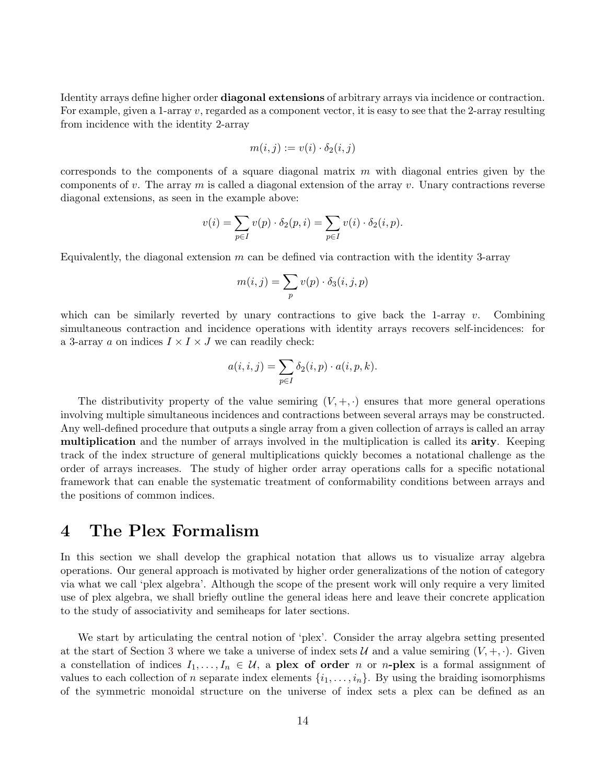Identity arrays define higher order diagonal extensions of arbitrary arrays via incidence or contraction. For example, given a 1-array  $v$ , regarded as a component vector, it is easy to see that the 2-array resulting from incidence with the identity 2-array

$$
m(i,j) := v(i) \cdot \delta_2(i,j)
$$

corresponds to the components of a square diagonal matrix  $m$  with diagonal entries given by the components of v. The array  $m$  is called a diagonal extension of the array v. Unary contractions reverse diagonal extensions, as seen in the example above:

$$
v(i) = \sum_{p \in I} v(p) \cdot \delta_2(p, i) = \sum_{p \in I} v(i) \cdot \delta_2(i, p).
$$

Equivalently, the diagonal extension  $m$  can be defined via contraction with the identity 3-array

$$
m(i,j) = \sum_{p} v(p) \cdot \delta_3(i,j,p)
$$

which can be similarly reverted by unary contractions to give back the 1-array  $v$ . Combining simultaneous contraction and incidence operations with identity arrays recovers self-incidences: for a 3-array a on indices  $I \times I \times J$  we can readily check:

$$
a(i, i, j) = \sum_{p \in I} \delta_2(i, p) \cdot a(i, p, k).
$$

The distributivity property of the value semiring  $(V, +, \cdot)$  ensures that more general operations involving multiple simultaneous incidences and contractions between several arrays may be constructed. Any well-defined procedure that outputs a single array from a given collection of arrays is called an array multiplication and the number of arrays involved in the multiplication is called its arity. Keeping track of the index structure of general multiplications quickly becomes a notational challenge as the order of arrays increases. The study of higher order array operations calls for a specific notational framework that can enable the systematic treatment of conformability conditions between arrays and the positions of common indices.

#### <span id="page-13-0"></span>4 The Plex Formalism

In this section we shall develop the graphical notation that allows us to visualize array algebra operations. Our general approach is motivated by higher order generalizations of the notion of category via what we call 'plex algebra'. Although the scope of the present work will only require a very limited use of plex algebra, we shall briefly outline the general ideas here and leave their concrete application to the study of associativity and semiheaps for later sections.

We start by articulating the central notion of 'plex'. Consider the array algebra setting presented at the start of Section [3](#page-8-0) where we take a universe of index sets U and a value semiring  $(V, +, \cdot)$ . Given a constellation of indices  $I_1, \ldots, I_n \in \mathcal{U}$ , a plex of order n or n-plex is a formal assignment of values to each collection of n separate index elements  $\{i_1, \ldots, i_n\}$ . By using the braiding isomorphisms of the symmetric monoidal structure on the universe of index sets a plex can be defined as an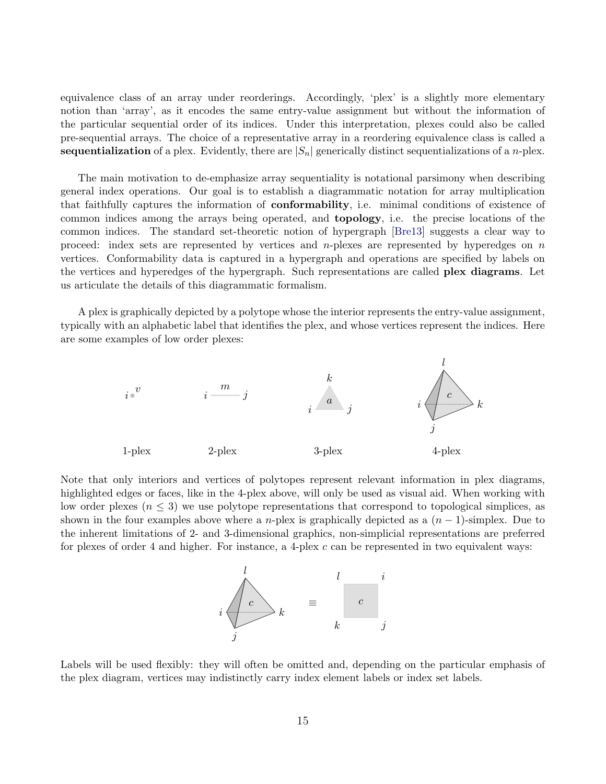equivalence class of an array under reorderings. Accordingly, 'plex' is a slightly more elementary notion than 'array', as it encodes the same entry-value assignment but without the information of the particular sequential order of its indices. Under this interpretation, plexes could also be called pre-sequential arrays. The choice of a representative array in a reordering equivalence class is called a sequentialization of a plex. Evidently, there are  $|S_n|$  generically distinct sequentializations of a *n*-plex.

The main motivation to de-emphasize array sequentiality is notational parsimony when describing general index operations. Our goal is to establish a diagrammatic notation for array multiplication that faithfully captures the information of conformability, i.e. minimal conditions of existence of common indices among the arrays being operated, and topology, i.e. the precise locations of the common indices. The standard set-theoretic notion of hypergraph [\[Bre13\]](#page-40-17) suggests a clear way to proceed: index sets are represented by vertices and *n*-plexes are represented by hyperedges on  $n$ vertices. Conformability data is captured in a hypergraph and operations are specified by labels on the vertices and hyperedges of the hypergraph. Such representations are called plex diagrams. Let us articulate the details of this diagrammatic formalism.

A plex is graphically depicted by a polytope whose the interior represents the entry-value assignment, typically with an alphabetic label that identifies the plex, and whose vertices represent the indices. Here are some examples of low order plexes:



Note that only interiors and vertices of polytopes represent relevant information in plex diagrams, highlighted edges or faces, like in the 4-plex above, will only be used as visual aid. When working with low order plexes  $(n \leq 3)$  we use polytope representations that correspond to topological simplices, as shown in the four examples above where a n-plex is graphically depicted as a  $(n-1)$ -simplex. Due to the inherent limitations of 2- and 3-dimensional graphics, non-simplicial representations are preferred for plexes of order 4 and higher. For instance, a 4-plex  $c$  can be represented in two equivalent ways:



Labels will be used flexibly: they will often be omitted and, depending on the particular emphasis of the plex diagram, vertices may indistinctly carry index element labels or index set labels.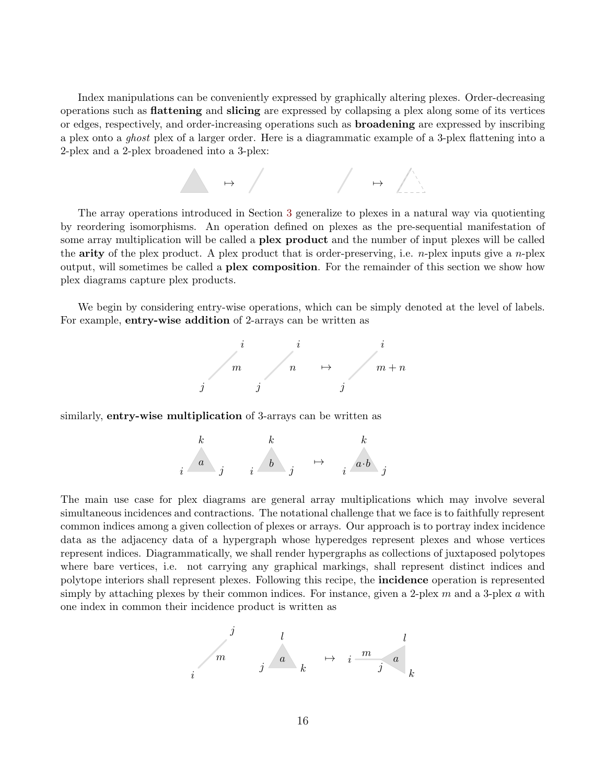Index manipulations can be conveniently expressed by graphically altering plexes. Order-decreasing operations such as flattening and slicing are expressed by collapsing a plex along some of its vertices or edges, respectively, and order-increasing operations such as broadening are expressed by inscribing a plex onto a ghost plex of a larger order. Here is a diagrammatic example of a 3-plex flattening into a 2-plex and a 2-plex broadened into a 3-plex:



The array operations introduced in Section [3](#page-8-0) generalize to plexes in a natural way via quotienting by reordering isomorphisms. An operation defined on plexes as the pre-sequential manifestation of some array multiplication will be called a **plex product** and the number of input plexes will be called the **arity** of the plex product. A plex product that is order-preserving, i.e. *n*-plex inputs give a *n*-plex output, will sometimes be called a plex composition. For the remainder of this section we show how plex diagrams capture plex products.

We begin by considering entry-wise operations, which can be simply denoted at the level of labels. For example, entry-wise addition of 2-arrays can be written as



similarly, **entry-wise multiplication** of 3-arrays can be written as



The main use case for plex diagrams are general array multiplications which may involve several simultaneous incidences and contractions. The notational challenge that we face is to faithfully represent common indices among a given collection of plexes or arrays. Our approach is to portray index incidence data as the adjacency data of a hypergraph whose hyperedges represent plexes and whose vertices represent indices. Diagrammatically, we shall render hypergraphs as collections of juxtaposed polytopes where bare vertices, i.e. not carrying any graphical markings, shall represent distinct indices and polytope interiors shall represent plexes. Following this recipe, the incidence operation is represented simply by attaching plexes by their common indices. For instance, given a 2-plex  $m$  and a 3-plex  $a$  with one index in common their incidence product is written as

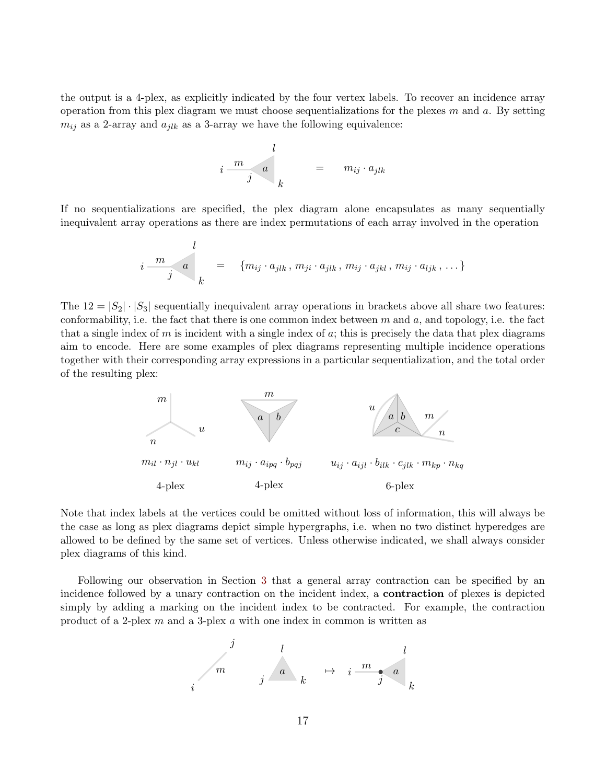the output is a 4-plex, as explicitly indicated by the four vertex labels. To recover an incidence array operation from this plex diagram we must choose sequentializations for the plexes  $m$  and  $a$ . By setting  $m_{ij}$  as a 2-array and  $a_{jlk}$  as a 3-array we have the following equivalence:

$$
i \frac{m}{j} a \bigg|_k = m_{ij} \cdot a_{jlk}
$$

If no sequentializations are specified, the plex diagram alone encapsulates as many sequentially inequivalent array operations as there are index permutations of each array involved in the operation

$$
i \frac{m}{j} \quad a \quad = \quad \{m_{ij} \cdot a_{jlk}, m_{ji} \cdot a_{jlk}, m_{ij} \cdot a_{jkl}, m_{ij} \cdot a_{ljk}, \ldots\}
$$

The  $12 = |S_2| \cdot |S_3|$  sequentially inequivalent array operations in brackets above all share two features: conformability, i.e. the fact that there is one common index between  $m$  and  $a$ , and topology, i.e. the fact that a single index of m is incident with a single index of a; this is precisely the data that plex diagrams aim to encode. Here are some examples of plex diagrams representing multiple incidence operations together with their corresponding array expressions in a particular sequentialization, and the total order of the resulting plex:



Note that index labels at the vertices could be omitted without loss of information, this will always be the case as long as plex diagrams depict simple hypergraphs, i.e. when no two distinct hyperedges are allowed to be defined by the same set of vertices. Unless otherwise indicated, we shall always consider plex diagrams of this kind.

Following our observation in Section [3](#page-8-0) that a general array contraction can be specified by an incidence followed by a unary contraction on the incident index, a contraction of plexes is depicted simply by adding a marking on the incident index to be contracted. For example, the contraction product of a 2-plex m and a 3-plex a with one index in common is written as

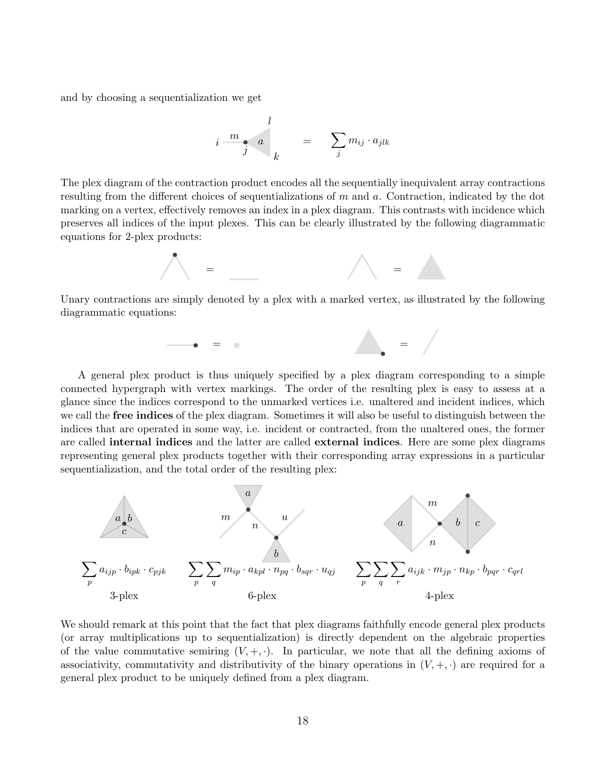and by choosing a sequentialization we get

$$
i \frac{m}{j} \stackrel{\text{d}}{=} \sum_j m_{ij} \cdot a_{jlk}
$$

The plex diagram of the contraction product encodes all the sequentially inequivalent array contractions resulting from the different choices of sequentializations of  $m$  and  $a$ . Contraction, indicated by the dot marking on a vertex, effectively removes an index in a plex diagram. This contrasts with incidence which preserves all indices of the input plexes. This can be clearly illustrated by the following diagrammatic equations for 2-plex products:



Unary contractions are simply denoted by a plex with a marked vertex, as illustrated by the following diagrammatic equations:



A general plex product is thus uniquely specified by a plex diagram corresponding to a simple connected hypergraph with vertex markings. The order of the resulting plex is easy to assess at a glance since the indices correspond to the unmarked vertices i.e. unaltered and incident indices, which we call the **free indices** of the plex diagram. Sometimes it will also be useful to distinguish between the indices that are operated in some way, i.e. incident or contracted, from the unaltered ones, the former are called internal indices and the latter are called external indices. Here are some plex diagrams representing general plex products together with their corresponding array expressions in a particular sequentialization, and the total order of the resulting plex:



We should remark at this point that the fact that plex diagrams faithfully encode general plex products (or array multiplications up to sequentialization) is directly dependent on the algebraic properties of the value commutative semiring  $(V, +, \cdot)$ . In particular, we note that all the defining axioms of associativity, commutativity and distributivity of the binary operations in  $(V, +, \cdot)$  are required for a general plex product to be uniquely defined from a plex diagram.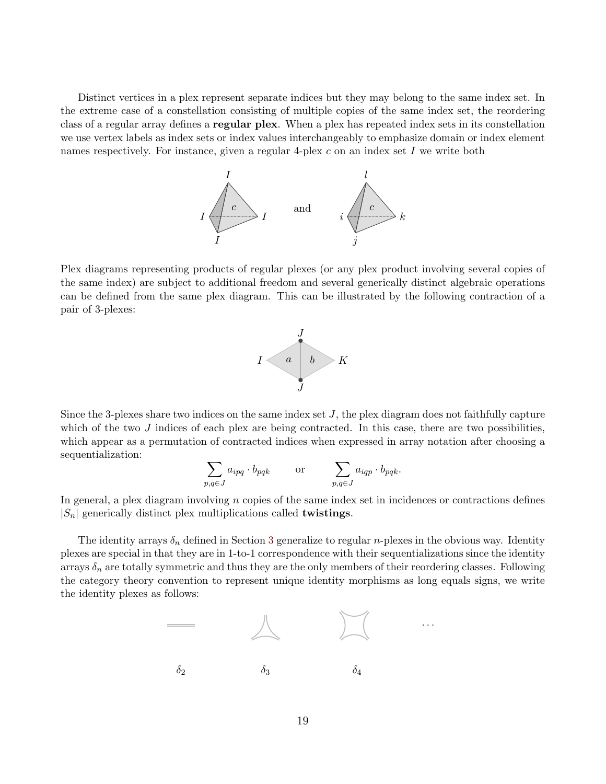Distinct vertices in a plex represent separate indices but they may belong to the same index set. In the extreme case of a constellation consisting of multiple copies of the same index set, the reordering class of a regular array defines a regular plex. When a plex has repeated index sets in its constellation we use vertex labels as index sets or index values interchangeably to emphasize domain or index element names respectively. For instance, given a regular 4-plex  $c$  on an index set I we write both



Plex diagrams representing products of regular plexes (or any plex product involving several copies of the same index) are subject to additional freedom and several generically distinct algebraic operations can be defined from the same plex diagram. This can be illustrated by the following contraction of a pair of 3-plexes:



Since the 3-plexes share two indices on the same index set  $J$ , the plex diagram does not faithfully capture which of the two  $J$  indices of each plex are being contracted. In this case, there are two possibilities, which appear as a permutation of contracted indices when expressed in array notation after choosing a sequentialization:

$$
\sum_{p,q \in J} a_{ipq} \cdot b_{pqk} \qquad \text{or} \qquad \sum_{p,q \in J} a_{iqp} \cdot b_{pqk}.
$$

In general, a plex diagram involving  $n$  copies of the same index set in incidences or contractions defines  $|S_n|$  generically distinct plex multiplications called **twistings**.

The identity arrays  $\delta_n$  defined in Section [3](#page-8-0) generalize to regular *n*-plexes in the obvious way. Identity plexes are special in that they are in 1-to-1 correspondence with their sequentializations since the identity arrays  $\delta_n$  are totally symmetric and thus they are the only members of their reordering classes. Following the category theory convention to represent unique identity morphisms as long equals signs, we write the identity plexes as follows:

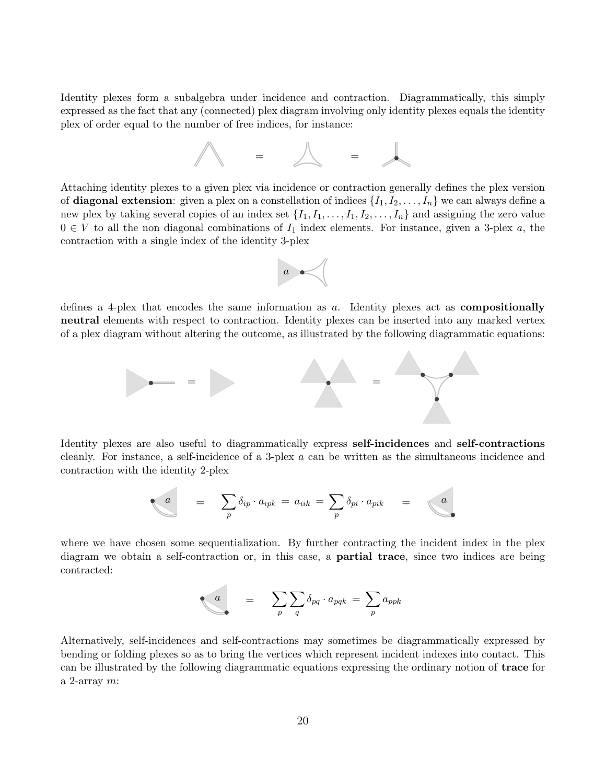Identity plexes form a subalgebra under incidence and contraction. Diagrammatically, this simply expressed as the fact that any (connected) plex diagram involving only identity plexes equals the identity plex of order equal to the number of free indices, for instance:



Attaching identity plexes to a given plex via incidence or contraction generally defines the plex version of **diagonal extension**: given a plex on a constellation of indices  $\{I_1, I_2, \ldots, I_n\}$  we can always define a new plex by taking several copies of an index set  $\{I_1, I_1, \ldots, I_1, I_2, \ldots, I_n\}$  and assigning the zero value  $0 \in V$  to all the non diagonal combinations of  $I_1$  index elements. For instance, given a 3-plex a, the contraction with a single index of the identity 3-plex



defines a 4-plex that encodes the same information as  $a$ . Identity plexes act as **compositionally** neutral elements with respect to contraction. Identity plexes can be inserted into any marked vertex of a plex diagram without altering the outcome, as illustrated by the following diagrammatic equations:



Identity plexes are also useful to diagrammatically express self-incidences and self-contractions cleanly. For instance, a self-incidence of a 3-plex a can be written as the simultaneous incidence and contraction with the identity 2-plex

$$
a = \sum_{p} \delta_{ip} \cdot a_{ipk} = a_{iik} = \sum_{p} \delta_{pi} \cdot a_{pik} = a_{ij}
$$

where we have chosen some sequentialization. By further contracting the incident index in the plex diagram we obtain a self-contraction or, in this case, a partial trace, since two indices are being contracted:

$$
\bullet \qquad \qquad = \qquad \sum_p \sum_q \delta_{pq} \cdot a_{pqk} \ = \ \sum_p a_{ppk}
$$

Alternatively, self-incidences and self-contractions may sometimes be diagrammatically expressed by bending or folding plexes so as to bring the vertices which represent incident indexes into contact. This can be illustrated by the following diagrammatic equations expressing the ordinary notion of trace for a 2-array  $m$ :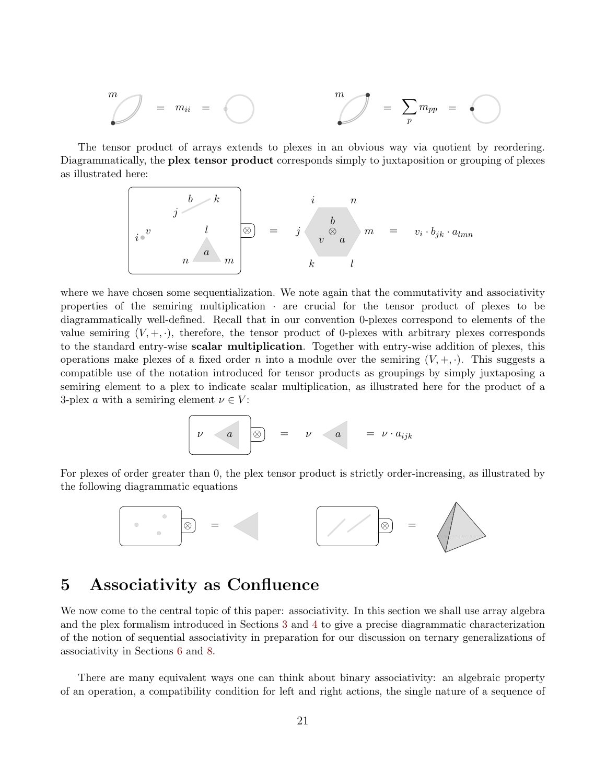$$
m \hspace{0.25cm} m \hspace{0.25cm} m \hspace{0.25cm} m \hspace{0.25cm} m \hspace{0.25cm} m \hspace{0.25cm} m \hspace{0.25cm} m \hspace{0.25cm} m \hspace{0.25cm} m \hspace{0.25cm} m \hspace{0.25cm} m \hspace{0.25cm} m \hspace{0.25cm} m \hspace{0.25cm} m \hspace{0.25cm} m \hspace{0.25cm} m \hspace{0.25cm} m \hspace{0.25cm} m \hspace{0.25cm} m \hspace{0.25cm} m \hspace{0.25cm} m \hspace{0.25cm} m \hspace{0.25cm} m \hspace{0.25cm} m \hspace{0.25cm} m \hspace{0.25cm} m \hspace{0.25cm} m \hspace{0.25cm} m \hspace{0.25cm} m \hspace{0.25cm} m \hspace{0.25cm} m \hspace{0.25cm} m \hspace{0.25cm} m \hspace{0.25cm} m \hspace{0.25cm} m \hspace{0.25cm} m \hspace{0.25cm} m \hspace{0.25cm} m \hspace{0.25cm} m \hspace{0.25cm} m \hspace{0.25cm} m \hspace{0.25cm} m \hspace{0.25cm} m \hspace{0.25cm} m \hspace{0.25cm} m \hspace{0.25cm} m \hspace{0.25cm} m \hspace{0.25cm} m \hspace{0.25cm} m \hspace{0.25cm} m \hspace{0.25cm} m \hspace{0.25cm} m \hspace{0.25cm} m \hspace{0.25cm} m \hspace{0.25cm} m \hspace{0.25cm} m \hspace{0.25cm} m \hspace{0.25cm} m \hspace{0.25cm} m \hspace{0.25cm} m \hspace{0.25cm} m \hspace{0.25cm} m \hspace{0.25cm} m \hspace{0.25cm} m \hspace{0.25cm} m \hspace{0.25cm} m \hspace{0.25cm} m \hspace{0.25cm} m \hspace{0.25cm}
$$

The tensor product of arrays extends to plexes in an obvious way via quotient by reordering. Diagrammatically, the **plex tensor product** corresponds simply to juxtaposition or grouping of plexes as illustrated here:

$$
\begin{array}{ccc}\n & b & k \\
 & j & k \\
i & v & l \\
n & a & m\n\end{array}\n\right\} =\n\begin{array}{ccc}\n & i & n \\
 & b & n \\
 & v \otimes a & m = v_i \cdot b_{jk} \cdot a_{lmn}\n\end{array}
$$

where we have chosen some sequentialization. We note again that the commutativity and associativity properties of the semiring multiplication · are crucial for the tensor product of plexes to be diagrammatically well-defined. Recall that in our convention 0-plexes correspond to elements of the value semiring  $(V, +, \cdot)$ , therefore, the tensor product of 0-plexes with arbitrary plexes corresponds to the standard entry-wise scalar multiplication. Together with entry-wise addition of plexes, this operations make plexes of a fixed order n into a module over the semiring  $(V, +, \cdot)$ . This suggests a compatible use of the notation introduced for tensor products as groupings by simply juxtaposing a semiring element to a plex to indicate scalar multiplication, as illustrated here for the product of a 3-plex a with a semiring element  $\nu \in V$ :

$$
\nu \qquad a \qquad \boxed{\otimes} \qquad = \qquad \nu \qquad a \qquad = \qquad \nu \cdot a_{ijk}
$$

For plexes of order greater than 0, the plex tensor product is strictly order-increasing, as illustrated by the following diagrammatic equations



#### <span id="page-20-0"></span>5 Associativity as Confluence

We now come to the central topic of this paper: associativity. In this section we shall use array algebra and the plex formalism introduced in Sections [3](#page-8-0) and [4](#page-13-0) to give a precise diagrammatic characterization of the notion of sequential associativity in preparation for our discussion on ternary generalizations of associativity in Sections [6](#page-24-0) and [8.](#page-38-0)

There are many equivalent ways one can think about binary associativity: an algebraic property of an operation, a compatibility condition for left and right actions, the single nature of a sequence of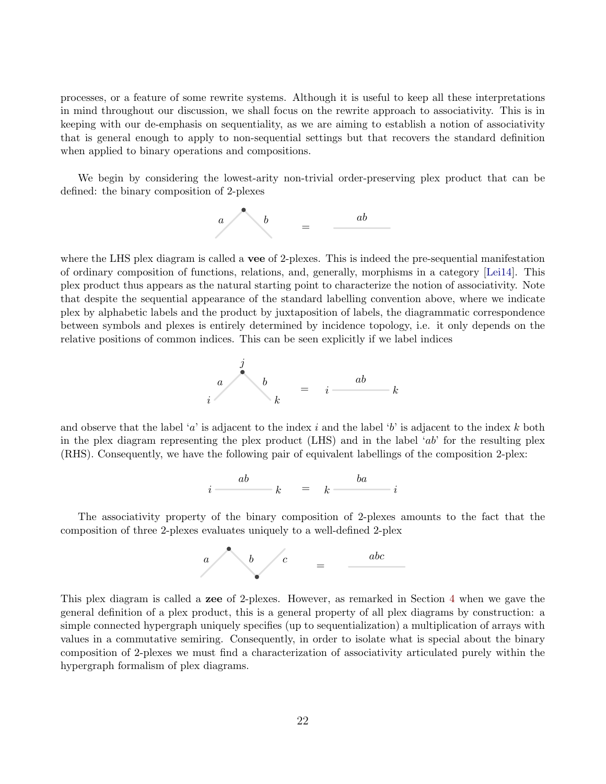processes, or a feature of some rewrite systems. Although it is useful to keep all these interpretations in mind throughout our discussion, we shall focus on the rewrite approach to associativity. This is in keeping with our de-emphasis on sequentiality, as we are aiming to establish a notion of associativity that is general enough to apply to non-sequential settings but that recovers the standard definition when applied to binary operations and compositions.

We begin by considering the lowest-arity non-trivial order-preserving plex product that can be defined: the binary composition of 2-plexes



where the LHS plex diagram is called a vee of 2-plexes. This is indeed the pre-sequential manifestation of ordinary composition of functions, relations, and, generally, morphisms in a category [\[Lei14\]](#page-40-4). This plex product thus appears as the natural starting point to characterize the notion of associativity. Note that despite the sequential appearance of the standard labelling convention above, where we indicate plex by alphabetic labels and the product by juxtaposition of labels, the diagrammatic correspondence between symbols and plexes is entirely determined by incidence topology, i.e. it only depends on the relative positions of common indices. This can be seen explicitly if we label indices



and observe that the label 'a' is adjacent to the index i and the label 'b' is adjacent to the index k both in the plex diagram representing the plex product (LHS) and in the label 'ab' for the resulting plex (RHS). Consequently, we have the following pair of equivalent labellings of the composition 2-plex:

$$
i \frac{ab}{1} \qquad k \quad = \quad k \frac{ba}{1} \qquad i
$$

The associativity property of the binary composition of 2-plexes amounts to the fact that the composition of three 2-plexes evaluates uniquely to a well-defined 2-plex



This plex diagram is called a zee of 2-plexes. However, as remarked in Section [4](#page-13-0) when we gave the general definition of a plex product, this is a general property of all plex diagrams by construction: a simple connected hypergraph uniquely specifies (up to sequentialization) a multiplication of arrays with values in a commutative semiring. Consequently, in order to isolate what is special about the binary composition of 2-plexes we must find a characterization of associativity articulated purely within the hypergraph formalism of plex diagrams.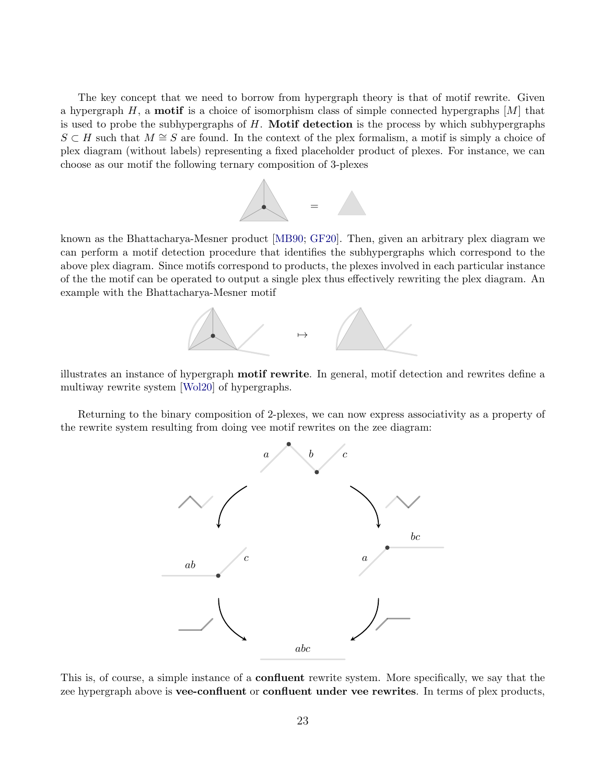The key concept that we need to borrow from hypergraph theory is that of motif rewrite. Given a hypergraph  $H$ , a **motif** is a choice of isomorphism class of simple connected hypergraphs  $[M]$  that is used to probe the subhypergraphs of  $H$ . Motif detection is the process by which subhypergraphs  $S \subset H$  such that  $M \cong S$  are found. In the context of the plex formalism, a motif is simply a choice of plex diagram (without labels) representing a fixed placeholder product of plexes. For instance, we can choose as our motif the following ternary composition of 3-plexes



known as the Bhattacharya-Mesner product [\[MB90;](#page-39-11) [GF20\]](#page-41-7). Then, given an arbitrary plex diagram we can perform a motif detection procedure that identifies the subhypergraphs which correspond to the above plex diagram. Since motifs correspond to products, the plexes involved in each particular instance of the the motif can be operated to output a single plex thus effectively rewriting the plex diagram. An example with the Bhattacharya-Mesner motif



illustrates an instance of hypergraph motif rewrite. In general, motif detection and rewrites define a multiway rewrite system [\[Wol20\]](#page-41-10) of hypergraphs.

Returning to the binary composition of 2-plexes, we can now express associativity as a property of the rewrite system resulting from doing vee motif rewrites on the zee diagram:



This is, of course, a simple instance of a confluent rewrite system. More specifically, we say that the zee hypergraph above is **vee-confluent** or **confluent under vee rewrites**. In terms of plex products,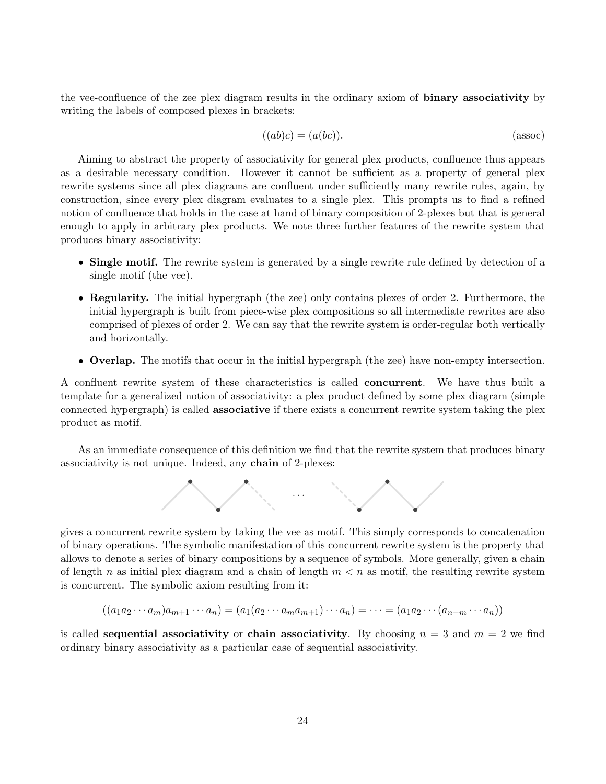the vee-confluence of the zee plex diagram results in the ordinary axiom of binary associativity by writing the labels of composed plexes in brackets:

$$
((ab)c) = (a(bc)).
$$
 (assoc)

Aiming to abstract the property of associativity for general plex products, confluence thus appears as a desirable necessary condition. However it cannot be sufficient as a property of general plex rewrite systems since all plex diagrams are confluent under sufficiently many rewrite rules, again, by construction, since every plex diagram evaluates to a single plex. This prompts us to find a refined notion of confluence that holds in the case at hand of binary composition of 2-plexes but that is general enough to apply in arbitrary plex products. We note three further features of the rewrite system that produces binary associativity:

- Single motif. The rewrite system is generated by a single rewrite rule defined by detection of a single motif (the vee).
- Regularity. The initial hypergraph (the zee) only contains plexes of order 2. Furthermore, the initial hypergraph is built from piece-wise plex compositions so all intermediate rewrites are also comprised of plexes of order 2. We can say that the rewrite system is order-regular both vertically and horizontally.
- Overlap. The motifs that occur in the initial hypergraph (the zee) have non-empty intersection.

A confluent rewrite system of these characteristics is called concurrent. We have thus built a template for a generalized notion of associativity: a plex product defined by some plex diagram (simple connected hypergraph) is called associative if there exists a concurrent rewrite system taking the plex product as motif.

As an immediate consequence of this definition we find that the rewrite system that produces binary associativity is not unique. Indeed, any chain of 2-plexes:



gives a concurrent rewrite system by taking the vee as motif. This simply corresponds to concatenation of binary operations. The symbolic manifestation of this concurrent rewrite system is the property that allows to denote a series of binary compositions by a sequence of symbols. More generally, given a chain of length n as initial plex diagram and a chain of length  $m < n$  as motif, the resulting rewrite system is concurrent. The symbolic axiom resulting from it:

$$
((a_1a_2\cdots a_m)a_{m+1}\cdots a_n)=(a_1(a_2\cdots a_ma_{m+1})\cdots a_n)=\cdots=(a_1a_2\cdots (a_{n-m}\cdots a_n))
$$

is called **sequential associativity** or **chain associativity**. By choosing  $n = 3$  and  $m = 2$  we find ordinary binary associativity as a particular case of sequential associativity.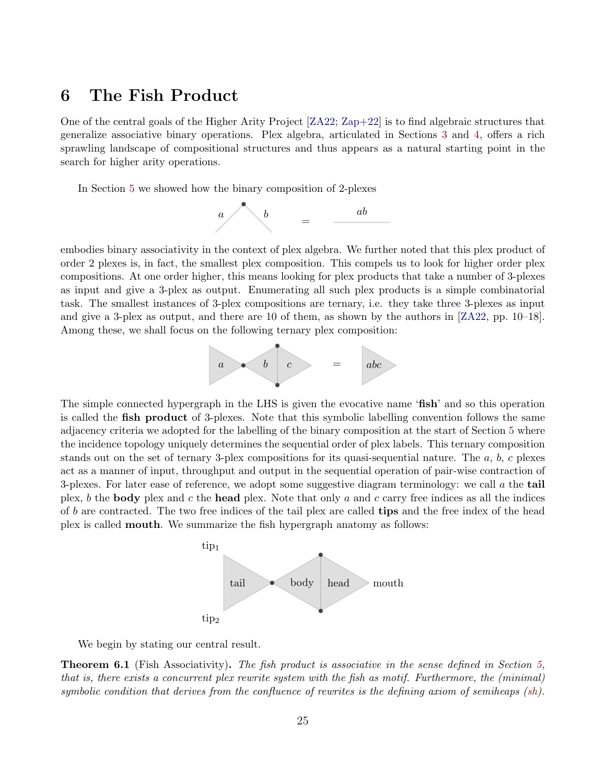# <span id="page-24-0"></span>6 The Fish Product

One of the central goals of the Higher Arity Project [\[ZA22;](#page-41-11) [Zap+22\]](#page-41-0) is to find algebraic structures that generalize associative binary operations. Plex algebra, articulated in Sections [3](#page-8-0) and [4,](#page-13-0) offers a rich sprawling landscape of compositional structures and thus appears as a natural starting point in the search for higher arity operations.

In Section [5](#page-20-0) we showed how the binary composition of 2-plexes



embodies binary associativity in the context of plex algebra. We further noted that this plex product of order 2 plexes is, in fact, the smallest plex composition. This compels us to look for higher order plex compositions. At one order higher, this means looking for plex products that take a number of 3-plexes as input and give a 3-plex as output. Enumerating all such plex products is a simple combinatorial task. The smallest instances of 3-plex compositions are ternary, i.e. they take three 3-plexes as input and give a 3-plex as output, and there are 10 of them, as shown by the authors in [\[ZA22,](#page-41-11) pp. 10–18]. Among these, we shall focus on the following ternary plex composition:



The simple connected hypergraph in the LHS is given the evocative name 'fish' and so this operation is called the fish product of 3-plexes. Note that this symbolic labelling convention follows the same adjacency criteria we adopted for the labelling of the binary composition at the start of Section [5](#page-20-0) where the incidence topology uniquely determines the sequential order of plex labels. This ternary composition stands out on the set of ternary 3-plex compositions for its quasi-sequential nature. The  $a, b, c$  plexes act as a manner of input, throughput and output in the sequential operation of pair-wise contraction of 3-plexes. For later ease of reference, we adopt some suggestive diagram terminology: we call  $\alpha$  the tail plex, b the **body** plex and c the **head** plex. Note that only a and c carry free indices as all the indices of b are contracted. The two free indices of the tail plex are called **tips** and the free index of the head plex is called mouth. We summarize the fish hypergraph anatomy as follows:



We begin by stating our central result.

<span id="page-24-1"></span>**Theorem 6.1** (Fish Associativity). The fish product is associative in the sense defined in Section [5,](#page-20-0) that is, there exists a concurrent plex rewrite system with the fish as motif. Furthermore, the (minimal) symbolic condition that derives from the confluence of rewrites is the defining axiom of semiheaps [\(sh\)](#page-1-1).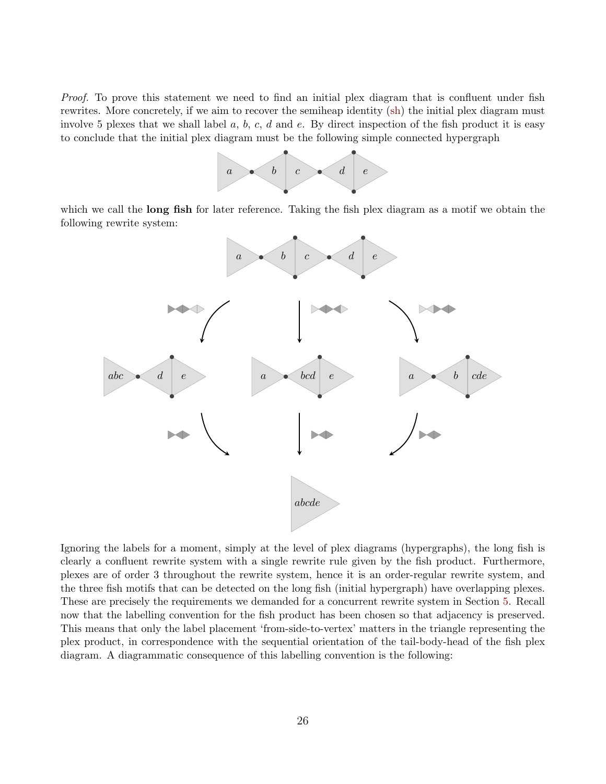Proof. To prove this statement we need to find an initial plex diagram that is confluent under fish rewrites. More concretely, if we aim to recover the semiheap identity [\(sh\)](#page-1-1) the initial plex diagram must involve 5 plexes that we shall label  $a, b, c, d$  and  $e$ . By direct inspection of the fish product it is easy to conclude that the initial plex diagram must be the following simple connected hypergraph



which we call the **long fish** for later reference. Taking the fish plex diagram as a motif we obtain the following rewrite system:



Ignoring the labels for a moment, simply at the level of plex diagrams (hypergraphs), the long fish is clearly a confluent rewrite system with a single rewrite rule given by the fish product. Furthermore, plexes are of order 3 throughout the rewrite system, hence it is an order-regular rewrite system, and the three fish motifs that can be detected on the long fish (initial hypergraph) have overlapping plexes. These are precisely the requirements we demanded for a concurrent rewrite system in Section [5.](#page-20-0) Recall now that the labelling convention for the fish product has been chosen so that adjacency is preserved. This means that only the label placement 'from-side-to-vertex' matters in the triangle representing the plex product, in correspondence with the sequential orientation of the tail-body-head of the fish plex diagram. A diagrammatic consequence of this labelling convention is the following: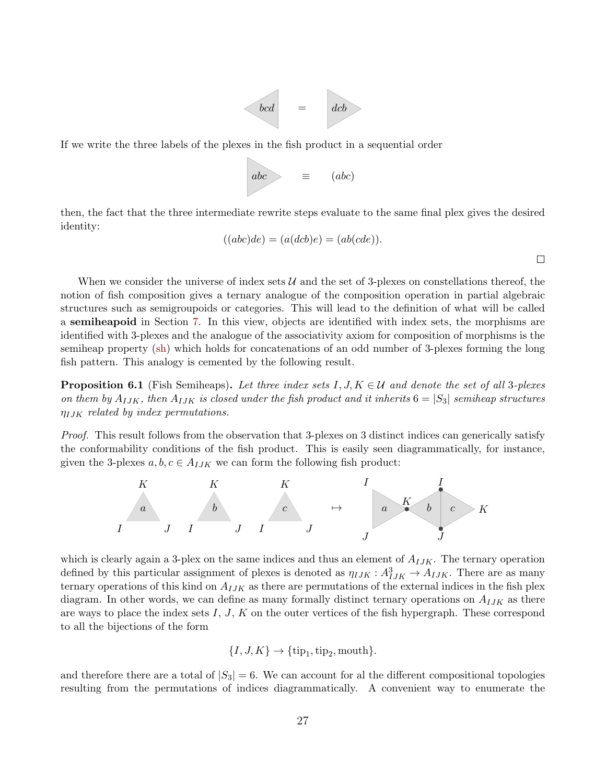

If we write the three labels of the plexes in the fish product in a sequential order



then, the fact that the three intermediate rewrite steps evaluate to the same final plex gives the desired identity:

$$
((abc)de) = (a(dcb)e) = (ab(cde)).
$$

 $\Box$ 

When we consider the universe of index sets  $\mathcal U$  and the set of 3-plexes on constellations thereof, the notion of fish composition gives a ternary analogue of the composition operation in partial algebraic structures such as semigroupoids or categories. This will lead to the definition of what will be called a semiheapoid in Section [7.](#page-35-0) In this view, objects are identified with index sets, the morphisms are identified with 3-plexes and the analogue of the associativity axiom for composition of morphisms is the semiheap property [\(sh\)](#page-1-1) which holds for concatenations of an odd number of 3-plexes forming the long fish pattern. This analogy is cemented by the following result.

<span id="page-26-0"></span>**Proposition 6.1** (Fish Semiheaps). Let three index sets I,  $J, K \in \mathcal{U}$  and denote the set of all 3-plexes on them by  $A_{IJK}$ , then  $A_{IJK}$  is closed under the fish product and it inherits  $6 = |S_3|$  semiheap structures  $\eta_{IJK}$  related by index permutations.

Proof. This result follows from the observation that 3-plexes on 3 distinct indices can generically satisfy the conformability conditions of the fish product. This is easily seen diagrammatically, for instance, given the 3-plexes  $a, b, c \in A_{IJK}$  we can form the following fish product:



which is clearly again a 3-plex on the same indices and thus an element of  $A_{IJK}$ . The ternary operation defined by this particular assignment of plexes is denoted as  $\eta_{IJK}: A_{IJK}^3 \to A_{IJK}$ . There are as many ternary operations of this kind on  $A_{IJK}$  as there are permutations of the external indices in the fish plex diagram. In other words, we can define as many formally distinct ternary operations on  $A_{IJK}$  as there are ways to place the index sets  $I, J, K$  on the outer vertices of the fish hypergraph. These correspond to all the bijections of the form

$$
\{I, J, K\} \to \{\text{tip}_1, \text{tip}_2, \text{mouth}\}.
$$

and therefore there are a total of  $|S_3| = 6$ . We can account for al the different compositional topologies resulting from the permutations of indices diagrammatically. A convenient way to enumerate the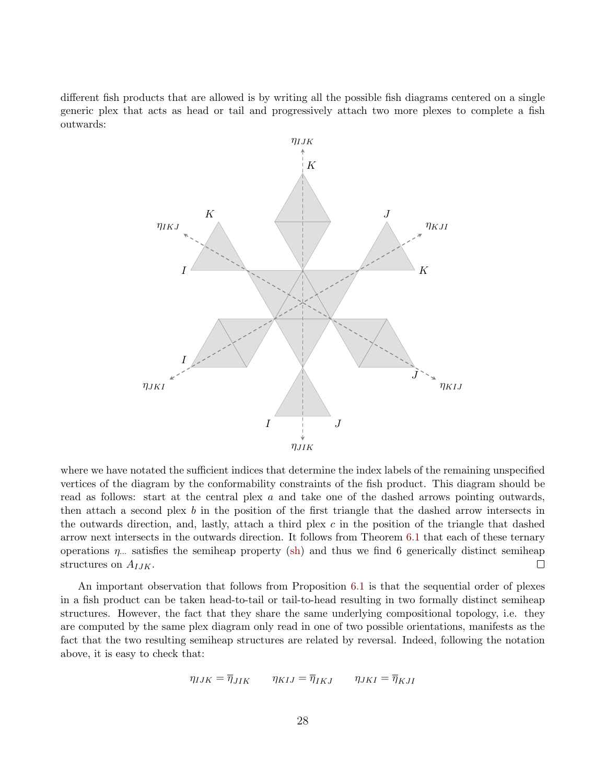different fish products that are allowed is by writing all the possible fish diagrams centered on a single generic plex that acts as head or tail and progressively attach two more plexes to complete a fish outwards:



where we have notated the sufficient indices that determine the index labels of the remaining unspecified vertices of the diagram by the conformability constraints of the fish product. This diagram should be read as follows: start at the central plex a and take one of the dashed arrows pointing outwards, then attach a second plex b in the position of the first triangle that the dashed arrow intersects in the outwards direction, and, lastly, attach a third plex  $c$  in the position of the triangle that dashed arrow next intersects in the outwards direction. It follows from Theorem [6.1](#page-24-1) that each of these ternary operations  $\eta$ ... satisfies the semiheap property [\(sh\)](#page-1-1) and thus we find 6 generically distinct semiheap structures on  $A_{IJK}$ .  $\Box$ 

An important observation that follows from Proposition [6.1](#page-26-0) is that the sequential order of plexes in a fish product can be taken head-to-tail or tail-to-head resulting in two formally distinct semiheap structures. However, the fact that they share the same underlying compositional topology, i.e. they are computed by the same plex diagram only read in one of two possible orientations, manifests as the fact that the two resulting semiheap structures are related by reversal. Indeed, following the notation above, it is easy to check that:

$$
\eta_{IJK} = \overline{\eta}_{JIK} \qquad \eta_{KIJ} = \overline{\eta}_{IKJ} \qquad \eta_{JKI} = \overline{\eta}_{KJI}
$$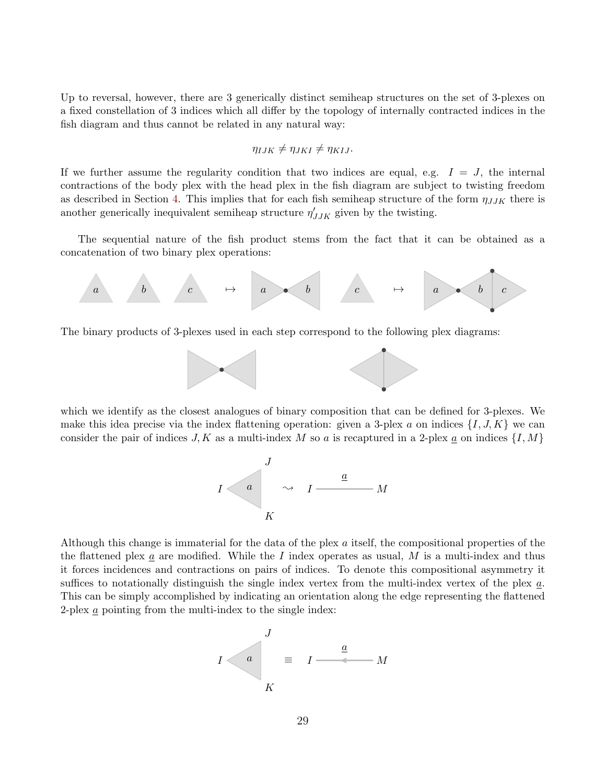Up to reversal, however, there are 3 generically distinct semiheap structures on the set of 3-plexes on a fixed constellation of 3 indices which all differ by the topology of internally contracted indices in the fish diagram and thus cannot be related in any natural way:

$$
\eta_{IJK} \neq \eta_{JKI} \neq \eta_{KIJ}.
$$

If we further assume the regularity condition that two indices are equal, e.g.  $I = J$ , the internal contractions of the body plex with the head plex in the fish diagram are subject to twisting freedom as described in Section [4.](#page-13-0) This implies that for each fish semiheap structure of the form  $\eta_{JJK}$  there is another generically inequivalent semiheap structure  $\eta'_{JJK}$  given by the twisting.

The sequential nature of the fish product stems from the fact that it can be obtained as a concatenation of two binary plex operations:



The binary products of 3-plexes used in each step correspond to the following plex diagrams:



which we identify as the closest analogues of binary composition that can be defined for 3-plexes. We make this idea precise via the index flattening operation: given a 3-plex a on indices  $\{I, J, K\}$  we can consider the pair of indices  $J, K$  as a multi-index M so a is recaptured in a 2-plex  $\underline{a}$  on indices  $\{I, M\}$ 



Although this change is immaterial for the data of the plex a itself, the compositional properties of the the flattened plex a are modified. While the I index operates as usual,  $M$  is a multi-index and thus it forces incidences and contractions on pairs of indices. To denote this compositional asymmetry it suffices to notationally distinguish the single index vertex from the multi-index vertex of the plex  $a$ . This can be simply accomplished by indicating an orientation along the edge representing the flattened 2-plex a pointing from the multi-index to the single index:

![](_page_28_Figure_10.jpeg)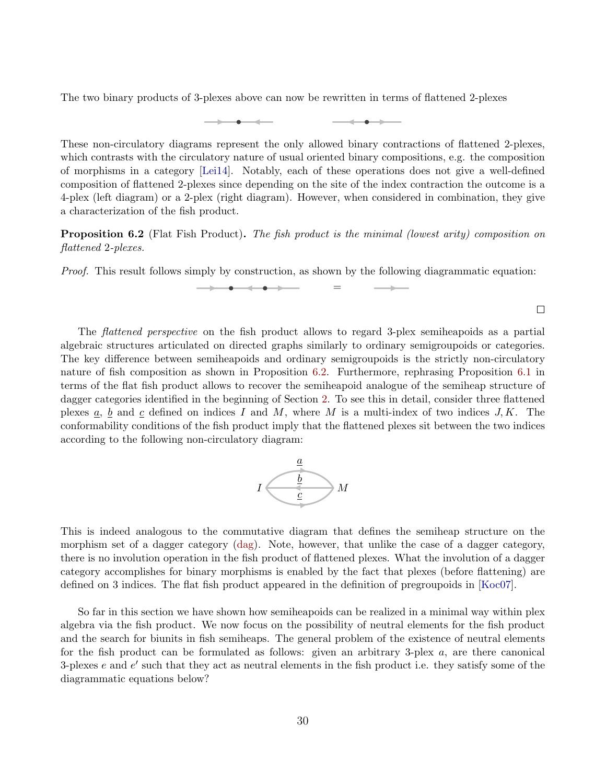The two binary products of 3-plexes above can now be rewritten in terms of flattened 2-plexes

These non-circulatory diagrams represent the only allowed binary contractions of flattened 2-plexes, which contrasts with the circulatory nature of usual oriented binary compositions, e.g. the composition of morphisms in a category [\[Lei14\]](#page-40-4). Notably, each of these operations does not give a well-defined composition of flattened 2-plexes since depending on the site of the index contraction the outcome is a 4-plex (left diagram) or a 2-plex (right diagram). However, when considered in combination, they give a characterization of the fish product.

<span id="page-29-0"></span>**Proposition 6.2** (Flat Fish Product). The fish product is the minimal (lowest arity) composition on flattened 2-plexes.

Proof. This result follows simply by construction, as shown by the following diagrammatic equation:

=

 $\Box$ 

The flattened perspective on the fish product allows to regard 3-plex semiheapoids as a partial algebraic structures articulated on directed graphs similarly to ordinary semigroupoids or categories. The key difference between semiheapoids and ordinary semigroupoids is the strictly non-circulatory nature of fish composition as shown in Proposition [6.2.](#page-29-0) Furthermore, rephrasing Proposition [6.1](#page-26-0) in terms of the flat fish product allows to recover the semiheapoid analogue of the semiheap structure of dagger categories identified in the beginning of Section [2.](#page-4-0) To see this in detail, consider three flattened plexes a, b and c defined on indices I and M, where M is a multi-index of two indices  $J, K$ . The conformability conditions of the fish product imply that the flattened plexes sit between the two indices according to the following non-circulatory diagram:

![](_page_29_Picture_6.jpeg)

This is indeed analogous to the commutative diagram that defines the semiheap structure on the morphism set of a dagger category [\(dag\)](#page-5-1). Note, however, that unlike the case of a dagger category, there is no involution operation in the fish product of flattened plexes. What the involution of a dagger category accomplishes for binary morphisms is enabled by the fact that plexes (before flattening) are defined on 3 indices. The flat fish product appeared in the definition of pregroupoids in [\[Koc07\]](#page-40-8).

So far in this section we have shown how semiheapoids can be realized in a minimal way within plex algebra via the fish product. We now focus on the possibility of neutral elements for the fish product and the search for biunits in fish semiheaps. The general problem of the existence of neutral elements for the fish product can be formulated as follows: given an arbitrary 3-plex  $a$ , are there canonical 3-plexes  $e$  and  $e'$  such that they act as neutral elements in the fish product i.e. they satisfy some of the diagrammatic equations below?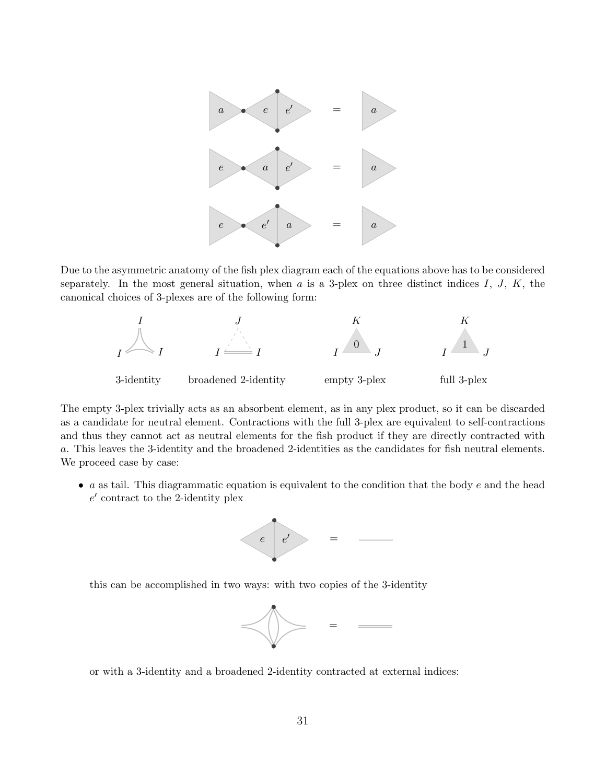![](_page_30_Figure_0.jpeg)

Due to the asymmetric anatomy of the fish plex diagram each of the equations above has to be considered separately. In the most general situation, when  $a$  is a 3-plex on three distinct indices  $I, J, K$ , the canonical choices of 3-plexes are of the following form:

![](_page_30_Figure_2.jpeg)

The empty 3-plex trivially acts as an absorbent element, as in any plex product, so it can be discarded as a candidate for neutral element. Contractions with the full 3-plex are equivalent to self-contractions and thus they cannot act as neutral elements for the fish product if they are directly contracted with a. This leaves the 3-identity and the broadened 2-identities as the candidates for fish neutral elements. We proceed case by case:

 $\bullet$  a as tail. This diagrammatic equation is equivalent to the condition that the body  $e$  and the head  $e'$  contract to the 2-identity plex

![](_page_30_Figure_5.jpeg)

this can be accomplished in two ways: with two copies of the 3-identity

![](_page_30_Figure_7.jpeg)

or with a 3-identity and a broadened 2-identity contracted at external indices: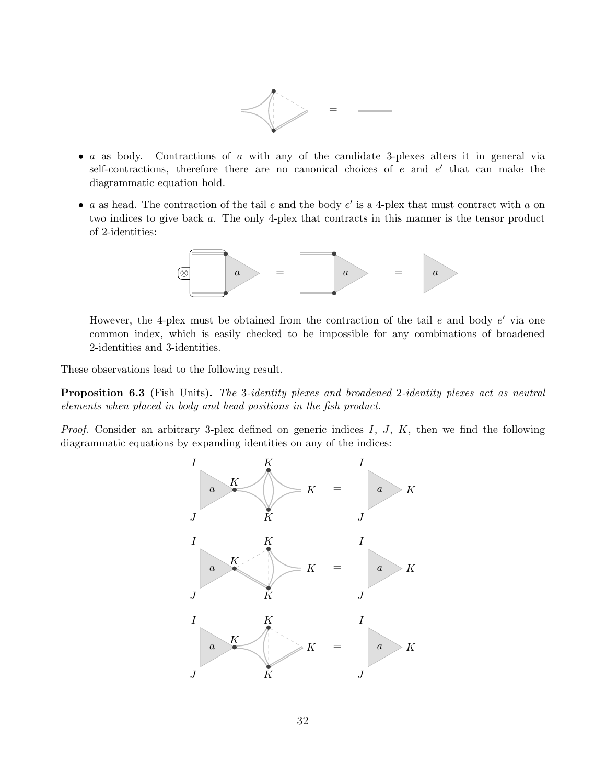![](_page_31_Figure_0.jpeg)

- a as body. Contractions of a with any of the candidate 3-plexes alters it in general via self-contractions, therefore there are no canonical choices of  $e$  and  $e'$  that can make the diagrammatic equation hold.
- a as head. The contraction of the tail  $e$  and the body  $e'$  is a 4-plex that must contract with  $a$  on two indices to give back a. The only 4-plex that contracts in this manner is the tensor product of 2-identities:

![](_page_31_Figure_3.jpeg)

However, the 4-plex must be obtained from the contraction of the tail  $e$  and body  $e'$  via one common index, which is easily checked to be impossible for any combinations of broadened 2-identities and 3-identities.

These observations lead to the following result.

<span id="page-31-0"></span>**Proposition 6.3** (Fish Units). The 3-identity plexes and broadened 2-identity plexes act as neutral elements when placed in body and head positions in the fish product.

*Proof.* Consider an arbitrary 3-plex defined on generic indices  $I, J, K$ , then we find the following diagrammatic equations by expanding identities on any of the indices:

![](_page_31_Figure_8.jpeg)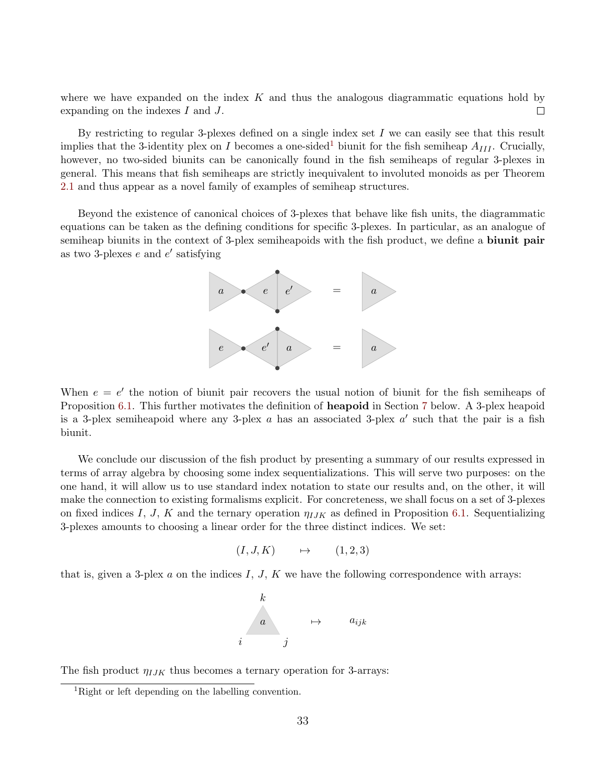where we have expanded on the index  $K$  and thus the analogous diagrammatic equations hold by expanding on the indexes I and J.  $\Box$ 

By restricting to regular 3-plexes defined on a single index set  $I$  we can easily see that this result implies that the 3-identity plex on I becomes a one-sided<sup>[1](#page-32-0)</sup> biunit for the fish semiheap  $A_{III}$ . Crucially, however, no two-sided biunits can be canonically found in the fish semiheaps of regular 3-plexes in general. This means that fish semiheaps are strictly inequivalent to involuted monoids as per Theorem [2.1](#page-5-0) and thus appear as a novel family of examples of semiheap structures.

Beyond the existence of canonical choices of 3-plexes that behave like fish units, the diagrammatic equations can be taken as the defining conditions for specific 3-plexes. In particular, as an analogue of semiheap biunits in the context of 3-plex semiheapoids with the fish product, we define a **biunit pair** as two 3-plexes  $e$  and  $e'$  satisfying

![](_page_32_Figure_3.jpeg)

When  $e = e'$  the notion of biunit pair recovers the usual notion of biunit for the fish semiheaps of Proposition [6.1.](#page-26-0) This further motivates the definition of heapoid in Section [7](#page-35-0) below. A 3-plex heapoid is a 3-plex semiheapoid where any 3-plex  $a$  has an associated 3-plex  $a'$  such that the pair is a fish biunit.

We conclude our discussion of the fish product by presenting a summary of our results expressed in terms of array algebra by choosing some index sequentializations. This will serve two purposes: on the one hand, it will allow us to use standard index notation to state our results and, on the other, it will make the connection to existing formalisms explicit. For concreteness, we shall focus on a set of 3-plexes on fixed indices I, J, K and the ternary operation  $\eta_{IJK}$  as defined in Proposition [6.1.](#page-26-0) Sequentializing 3-plexes amounts to choosing a linear order for the three distinct indices. We set:

$$
(I, J, K) \qquad \mapsto \qquad (1, 2, 3)
$$

that is, given a 3-plex a on the indices  $I, J, K$  we have the following correspondence with arrays:

![](_page_32_Figure_8.jpeg)

The fish product  $\eta_{IJK}$  thus becomes a ternary operation for 3-arrays:

<span id="page-32-0"></span><sup>1</sup>Right or left depending on the labelling convention.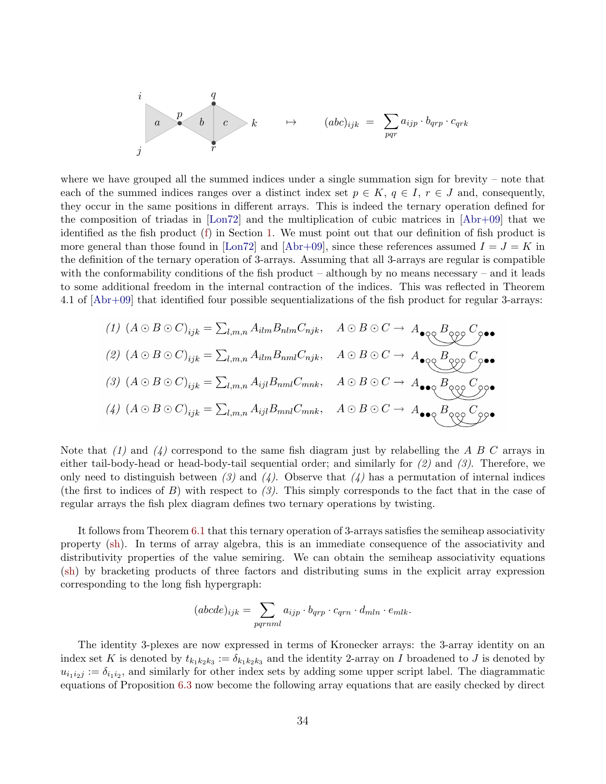$$
\begin{array}{ccccccccc}\ni&&&&q&&&&\\ &a&&b&&c&k&\mapsto&(abc)_{ijk}=&\sum_{pqr}a_{ijp}\cdot b_{qrp}\cdot c_{qrk}&&\\ j&&&&r&&&&\\ \end{array}
$$

where we have grouped all the summed indices under a single summation sign for brevity – note that each of the summed indices ranges over a distinct index set  $p \in K$ ,  $q \in I$ ,  $r \in J$  and, consequently, they occur in the same positions in different arrays. This is indeed the ternary operation defined for the composition of triadas in [\[Lon72\]](#page-39-5) and the multiplication of cubic matrices in [\[Abr+09\]](#page-40-6) that we identified as the fish product [\(f\)](#page-1-2) in Section [1.](#page-1-0) We must point out that our definition of fish product is more general than those found in [\[Lon72\]](#page-39-5) and [\[Abr+09\]](#page-40-6), since these references assumed  $I = J = K$  in the definition of the ternary operation of 3-arrays. Assuming that all 3-arrays are regular is compatible with the conformability conditions of the fish product – although by no means necessary – and it leads to some additional freedom in the internal contraction of the indices. This was reflected in Theorem 4.1 of [\[Abr+09\]](#page-40-6) that identified four possible sequentializations of the fish product for regular 3-arrays:

(1) 
$$
(A \odot B \odot C)_{ijk} = \sum_{l,m,n} A_{ilm} B_{nlm} C_{njk}, \quad A \odot B \odot C \rightarrow A_{\bullet \circ \mathcal{O}} B_{\bullet \circ \mathcal{O}} C_{\bullet \bullet \bullet}
$$
  
\n(2)  $(A \odot B \odot C)_{ijk} = \sum_{l,m,n} A_{ilm} B_{nml} C_{njk}, \quad A \odot B \odot C \rightarrow A_{\bullet \circ \mathcal{O}} B_{\bullet \circ \mathcal{O}} C_{\bullet \bullet \bullet}$   
\n(3)  $(A \odot B \odot C)_{ijk} = \sum_{l,m,n} A_{ijl} B_{nml} C_{mnk}, \quad A \odot B \odot C \rightarrow A_{\bullet \bullet \mathcal{O}} B_{\bullet \circ \mathcal{O}} C_{\bullet \bullet \bullet}$   
\n(4)  $(A \odot B \odot C)_{ijk} = \sum_{l,m,n} A_{ijl} B_{mnl} C_{mnk}, \quad A \odot B \odot C \rightarrow A_{\bullet \bullet \mathcal{O}} B_{\bullet \circ \mathcal{O}} C_{\bullet \bullet \bullet \bullet}$ 

Note that  $(1)$  and  $(4)$  correspond to the same fish diagram just by relabelling the A B C arrays in either tail-body-head or head-body-tail sequential order; and similarly for  $(2)$  and  $(3)$ . Therefore, we only need to distinguish between (3) and (4). Observe that (4) has a permutation of internal indices (the first to indices of B) with respect to  $(3)$ . This simply corresponds to the fact that in the case of regular arrays the fish plex diagram defines two ternary operations by twisting.

It follows from Theorem [6.1](#page-24-1) that this ternary operation of 3-arrays satisfies the semiheap associativity property [\(sh\)](#page-1-1). In terms of array algebra, this is an immediate consequence of the associativity and distributivity properties of the value semiring. We can obtain the semiheap associativity equations [\(sh\)](#page-1-1) by bracketing products of three factors and distributing sums in the explicit array expression corresponding to the long fish hypergraph:

$$
(abcde)_{ijk} = \sum_{pqrnml} a_{ijp} \cdot b_{qrp} \cdot c_{qrn} \cdot d_{mln} \cdot e_{mlk}.
$$

The identity 3-plexes are now expressed in terms of Kronecker arrays: the 3-array identity on an index set K is denoted by  $t_{k_1k_2k_3} := \delta_{k_1k_2k_3}$  and the identity 2-array on I broadened to J is denoted by  $u_{i_1 i_2 j} := \delta_{i_1 i_2}$ , and similarly for other index sets by adding some upper script label. The diagrammatic equations of Proposition [6.3](#page-31-0) now become the following array equations that are easily checked by direct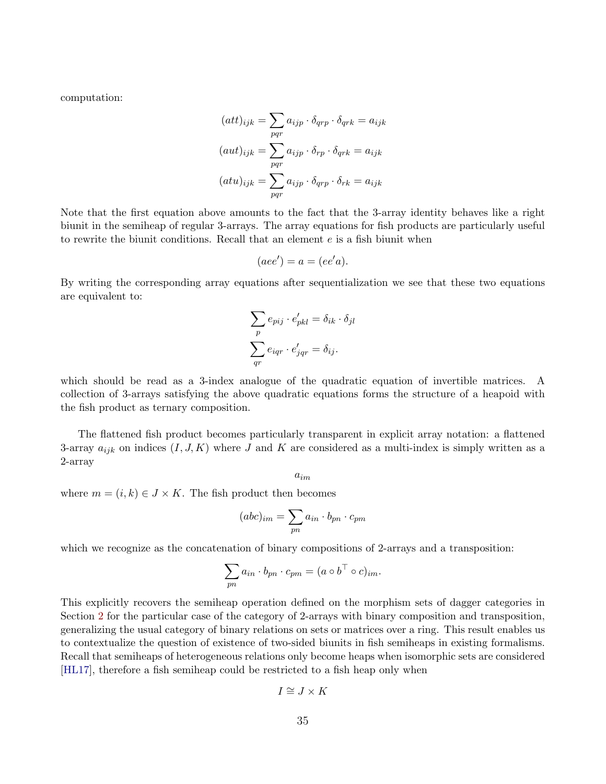computation:

$$
(att)_{ijk} = \sum_{pqr} a_{ijp} \cdot \delta_{qrp} \cdot \delta_{qrk} = a_{ijk}
$$

$$
(aut)_{ijk} = \sum_{pqr} a_{ijp} \cdot \delta_{rp} \cdot \delta_{qrk} = a_{ijk}
$$

$$
(att)_{ijk} = \sum_{pqr} a_{ijp} \cdot \delta_{qrp} \cdot \delta_{rk} = a_{ijk}
$$

Note that the first equation above amounts to the fact that the 3-array identity behaves like a right biunit in the semiheap of regular 3-arrays. The array equations for fish products are particularly useful to rewrite the biunit conditions. Recall that an element  $e$  is a fish biunit when

$$
(aee') = a = (ee'a).
$$

By writing the corresponding array equations after sequentialization we see that these two equations are equivalent to:

$$
\sum_{p} e_{pij} \cdot e'_{pkl} = \delta_{ik} \cdot \delta_{jl}
$$

$$
\sum_{qr} e_{iqr} \cdot e'_{jqr} = \delta_{ij}.
$$

which should be read as a 3-index analogue of the quadratic equation of invertible matrices. A collection of 3-arrays satisfying the above quadratic equations forms the structure of a heapoid with the fish product as ternary composition.

The flattened fish product becomes particularly transparent in explicit array notation: a flattened 3-array  $a_{ijk}$  on indices  $(I, J, K)$  where J and K are considered as a multi-index is simply written as a 2-array

 $a_{im}$ 

where  $m = (i, k) \in J \times K$ . The fish product then becomes

$$
(abc)_{im} = \sum_{pn} a_{in} \cdot b_{pn} \cdot c_{pm}
$$

which we recognize as the concatenation of binary compositions of 2-arrays and a transposition:

$$
\sum_{pn} a_{in} \cdot b_{pn} \cdot c_{pm} = (a \circ b^\top \circ c)_{im}.
$$

This explicitly recovers the semiheap operation defined on the morphism sets of dagger categories in Section [2](#page-4-0) for the particular case of the category of 2-arrays with binary composition and transposition, generalizing the usual category of binary relations on sets or matrices over a ring. This result enables us to contextualize the question of existence of two-sided biunits in fish semiheaps in existing formalisms. Recall that semiheaps of heterogeneous relations only become heaps when isomorphic sets are considered [\[HL17\]](#page-41-2), therefore a fish semiheap could be restricted to a fish heap only when

$$
I \cong J \times K
$$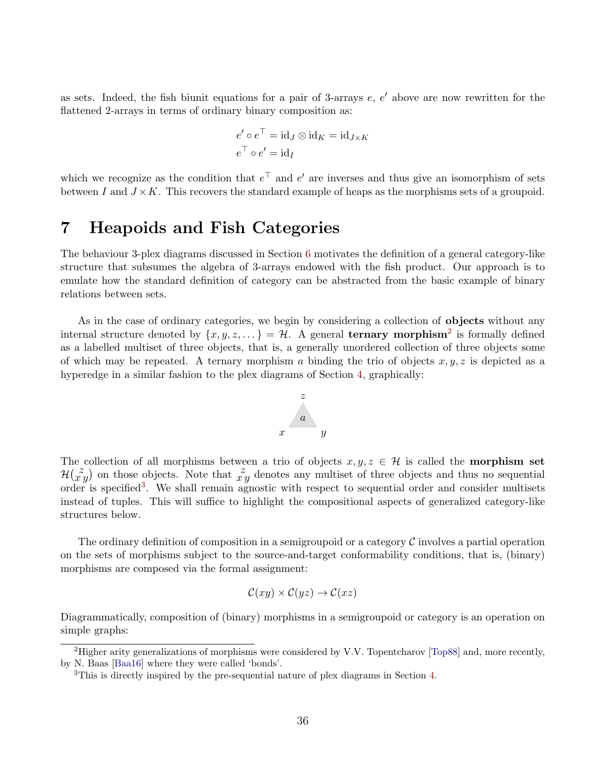as sets. Indeed, the fish biunit equations for a pair of 3-arrays  $e, e'$  above are now rewritten for the flattened 2-arrays in terms of ordinary binary composition as:

$$
e' \circ e^{\top} = id_J \otimes id_K = id_{J \times K}
$$

$$
e^{\top} \circ e' = id_I
$$

which we recognize as the condition that  $e^{\top}$  and  $e'$  are inverses and thus give an isomorphism of sets between I and  $J \times K$ . This recovers the standard example of heaps as the morphisms sets of a groupoid.

#### <span id="page-35-0"></span>7 Heapoids and Fish Categories

The behaviour 3-plex diagrams discussed in Section [6](#page-24-0) motivates the definition of a general category-like structure that subsumes the algebra of 3-arrays endowed with the fish product. Our approach is to emulate how the standard definition of category can be abstracted from the basic example of binary relations between sets.

As in the case of ordinary categories, we begin by considering a collection of **objects** without any internal structure denoted by  $\{x, y, z, \dots\} = \mathcal{H}$ . A general **ternary morphism**<sup>[2](#page-35-1)</sup> is formally defined as a labelled multiset of three objects, that is, a generally unordered collection of three objects some of which may be repeated. A ternary morphism a binding the trio of objects  $x, y, z$  is depicted as a hyperedge in a similar fashion to the plex diagrams of Section [4,](#page-13-0) graphically:

![](_page_35_Figure_6.jpeg)

The collection of all morphisms between a trio of objects  $x, y, z \in \mathcal{H}$  is called the **morphism set**  $\mathcal{H}(\tilde{x}^j)$  on those objects. Note that  $\tilde{x}^j$  denotes any multiset of three objects and thus no sequential order is specified<sup>[3](#page-35-2)</sup>. We shall remain agnostic with respect to sequential order and consider multisets instead of tuples. This will suffice to highlight the compositional aspects of generalized category-like structures below.

The ordinary definition of composition in a semigroupoid or a category  $\mathcal C$  involves a partial operation on the sets of morphisms subject to the source-and-target conformability conditions, that is, (binary) morphisms are composed via the formal assignment:

$$
\mathcal{C}(xy) \times \mathcal{C}(yz) \to \mathcal{C}(xz)
$$

Diagrammatically, composition of (binary) morphisms in a semigroupoid or category is an operation on simple graphs:

<span id="page-35-1"></span><sup>2</sup>Higher arity generalizations of morphisms were considered by V.V. Topentcharov [\[Top88\]](#page-39-12) and, more recently, by N. Baas [\[Baa16\]](#page-40-18) where they were called 'bonds'.

<span id="page-35-2"></span><sup>&</sup>lt;sup>3</sup>This is directly inspired by the pre-sequential nature of plex diagrams in Section [4.](#page-13-0)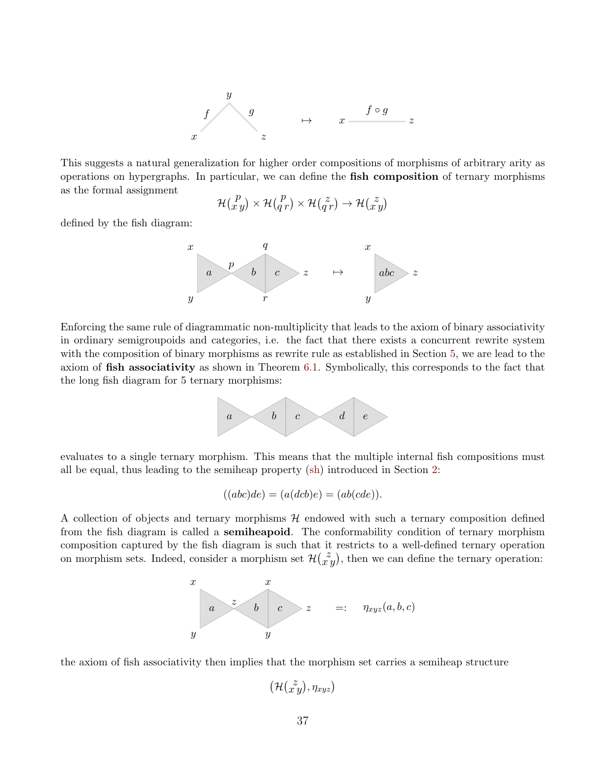![](_page_36_Figure_0.jpeg)

This suggests a natural generalization for higher order compositions of morphisms of arbitrary arity as operations on hypergraphs. In particular, we can define the fish composition of ternary morphisms as the formal assignment

$$
\mathcal{H}(\begin{smallmatrix}p\\x\\y\end{smallmatrix})\times\mathcal{H}(\begin{smallmatrix}p\\q\\r\end{smallmatrix})\times\mathcal{H}(\begin{smallmatrix}z\\q\\r\end{smallmatrix})\to\mathcal{H}(\begin{smallmatrix}z\\x\\y\end{smallmatrix})
$$

defined by the fish diagram:

![](_page_36_Figure_4.jpeg)

Enforcing the same rule of diagrammatic non-multiplicity that leads to the axiom of binary associativity in ordinary semigroupoids and categories, i.e. the fact that there exists a concurrent rewrite system with the composition of binary morphisms as rewrite rule as established in Section [5,](#page-20-0) we are lead to the axiom of fish associativity as shown in Theorem [6.1.](#page-24-1) Symbolically, this corresponds to the fact that the long fish diagram for 5 ternary morphisms:

![](_page_36_Figure_6.jpeg)

evaluates to a single ternary morphism. This means that the multiple internal fish compositions must all be equal, thus leading to the semiheap property [\(sh\)](#page-1-1) introduced in Section [2:](#page-4-0)

$$
((abc)de) = (a(dcb)e) = (ab(cde)).
$$

A collection of objects and ternary morphisms  $H$  endowed with such a ternary composition defined from the fish diagram is called a semiheapoid. The conformability condition of ternary morphism composition captured by the fish diagram is such that it restricts to a well-defined ternary operation on morphism sets. Indeed, consider a morphism set  $\mathcal{H}(\tilde{x}^y)$ , then we can define the ternary operation:

![](_page_36_Figure_10.jpeg)

the axiom of fish associativity then implies that the morphism set carries a semiheap structure

$$
\big(\mathcal{H}(\stackrel{z}{x}y),\eta_{xyz}\big)
$$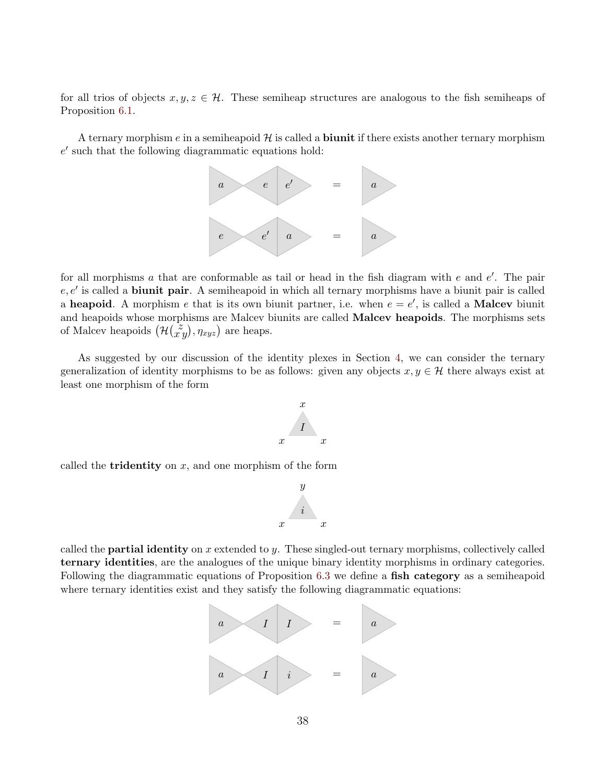for all trios of objects  $x, y, z \in \mathcal{H}$ . These semiheap structures are analogous to the fish semiheaps of Proposition [6.1.](#page-26-0)

A ternary morphism  $e$  in a semiheapoid  $\mathcal H$  is called a **biunit** if there exists another ternary morphism  $e'$  such that the following diagrammatic equations hold:

![](_page_37_Figure_2.jpeg)

for all morphisms  $a$  that are conformable as tail or head in the fish diagram with  $e$  and  $e'$ . The pair  $e, e'$  is called a **biunit pair**. A semiheapoid in which all ternary morphisms have a biunit pair is called a heapoid. A morphism e that is its own biunit partner, i.e. when  $e = e'$ , is called a Malcev biunit and heapoids whose morphisms are Malcev biunits are called **Malcev heapoids**. The morphisms sets of Malcev heapoids  $(\mathcal{H}(\vec{x},y), \eta_{xyz})$  are heaps.

As suggested by our discussion of the identity plexes in Section [4,](#page-13-0) we can consider the ternary generalization of identity morphisms to be as follows: given any objects  $x, y \in \mathcal{H}$  there always exist at least one morphism of the form

![](_page_37_Picture_5.jpeg)

called the **tridentity** on  $x$ , and one morphism of the form

![](_page_37_Figure_7.jpeg)

called the **partial identity** on  $x$  extended to  $y$ . These singled-out ternary morphisms, collectively called ternary identities, are the analogues of the unique binary identity morphisms in ordinary categories. Following the diagrammatic equations of Proposition [6.3](#page-31-0) we define a fish category as a semiheapoid where ternary identities exist and they satisfy the following diagrammatic equations:

![](_page_37_Figure_9.jpeg)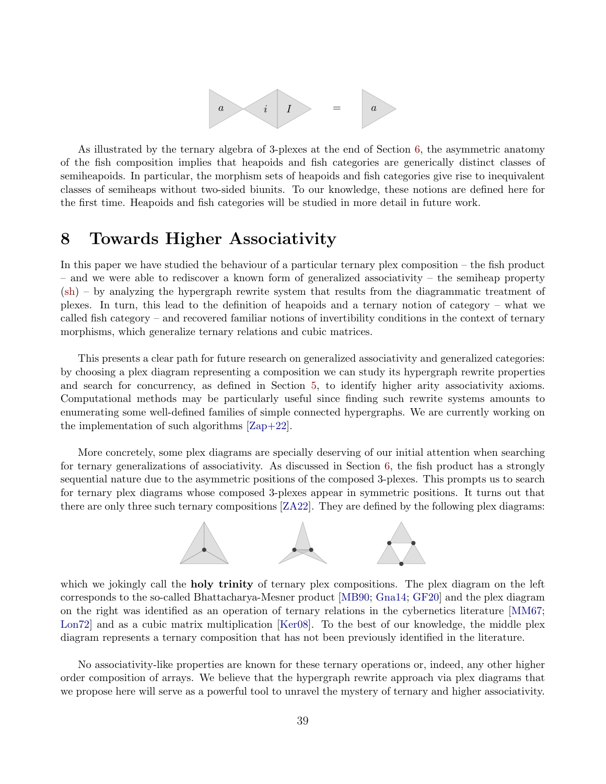![](_page_38_Figure_0.jpeg)

As illustrated by the ternary algebra of 3-plexes at the end of Section [6,](#page-24-0) the asymmetric anatomy of the fish composition implies that heapoids and fish categories are generically distinct classes of semiheapoids. In particular, the morphism sets of heapoids and fish categories give rise to inequivalent classes of semiheaps without two-sided biunits. To our knowledge, these notions are defined here for the first time. Heapoids and fish categories will be studied in more detail in future work.

#### <span id="page-38-0"></span>8 Towards Higher Associativity

In this paper we have studied the behaviour of a particular ternary plex composition – the fish product – and we were able to rediscover a known form of generalized associativity – the semiheap property [\(sh\)](#page-1-1) – by analyzing the hypergraph rewrite system that results from the diagrammatic treatment of plexes. In turn, this lead to the definition of heapoids and a ternary notion of category – what we called fish category – and recovered familiar notions of invertibility conditions in the context of ternary morphisms, which generalize ternary relations and cubic matrices.

This presents a clear path for future research on generalized associativity and generalized categories: by choosing a plex diagram representing a composition we can study its hypergraph rewrite properties and search for concurrency, as defined in Section [5,](#page-20-0) to identify higher arity associativity axioms. Computational methods may be particularly useful since finding such rewrite systems amounts to enumerating some well-defined families of simple connected hypergraphs. We are currently working on the implementation of such algorithms [\[Zap+22\]](#page-41-0).

More concretely, some plex diagrams are specially deserving of our initial attention when searching for ternary generalizations of associativity. As discussed in Section [6,](#page-24-0) the fish product has a strongly sequential nature due to the asymmetric positions of the composed 3-plexes. This prompts us to search for ternary plex diagrams whose composed 3-plexes appear in symmetric positions. It turns out that there are only three such ternary compositions [\[ZA22\]](#page-41-11). They are defined by the following plex diagrams:

![](_page_38_Figure_6.jpeg)

which we jokingly call the **holy trinity** of ternary plex compositions. The plex diagram on the left corresponds to the so-called Bhattacharya-Mesner product [\[MB90;](#page-39-11) [Gna14;](#page-40-12) [GF20\]](#page-41-7) and the plex diagram on the right was identified as an operation of ternary relations in the cybernetics literature [\[MM67;](#page-39-4) Lon72 and as a cubic matrix multiplication [\[Ker08\]](#page-40-5). To the best of our knowledge, the middle plex diagram represents a ternary composition that has not been previously identified in the literature.

No associativity-like properties are known for these ternary operations or, indeed, any other higher order composition of arrays. We believe that the hypergraph rewrite approach via plex diagrams that we propose here will serve as a powerful tool to unravel the mystery of ternary and higher associativity.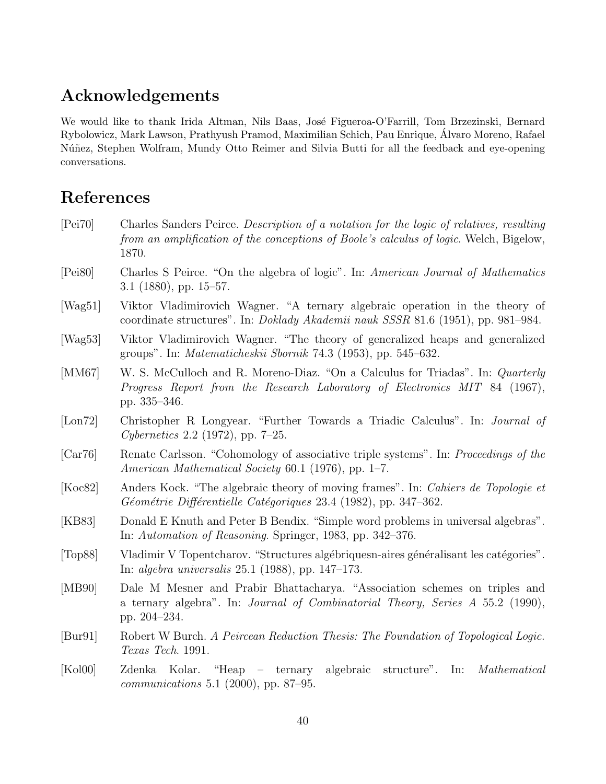# Acknowledgements

We would like to thank Irida Altman, Nils Baas, José Figueroa-O'Farrill, Tom Brzezinski, Bernard Rybolowicz, Mark Lawson, Prathyush Pramod, Maximilian Schich, Pau Enrique, Alvaro Moreno, Rafael ´ Núñez, Stephen Wolfram, Mundy Otto Reimer and Silvia Butti for all the feedback and eye-opening conversations.

# References

- <span id="page-39-2"></span>[Pei70] Charles Sanders Peirce. Description of a notation for the logic of relatives, resulting from an amplification of the conceptions of Boole's calculus of logic. Welch, Bigelow, 1870.
- <span id="page-39-3"></span>[Pei80] Charles S Peirce. "On the algebra of logic". In: American Journal of Mathematics 3.1 (1880), pp. 15–57.
- <span id="page-39-7"></span>[Wag51] Viktor Vladimirovich Wagner. "A ternary algebraic operation in the theory of coordinate structures". In: Doklady Akademii nauk SSSR 81.6 (1951), pp. 981–984.
- <span id="page-39-1"></span>[Wag53] Viktor Vladimirovich Wagner. "The theory of generalized heaps and generalized groups". In: Matematicheskii Sbornik 74.3 (1953), pp. 545–632.
- <span id="page-39-4"></span>[MM67] W. S. McCulloch and R. Moreno-Diaz. "On a Calculus for Triadas". In: *Quarterly* Progress Report from the Research Laboratory of Electronics MIT 84 (1967), pp. 335–346.
- <span id="page-39-5"></span>[Lon72] Christopher R Longyear. "Further Towards a Triadic Calculus". In: Journal of Cybernetics 2.2 (1972), pp. 7–25.
- <span id="page-39-8"></span>[Car76] Renate Carlsson. "Cohomology of associative triple systems". In: Proceedings of the American Mathematical Society 60.1 (1976), pp. 1–7.
- <span id="page-39-10"></span>[Koc82] Anders Kock. "The algebraic theory of moving frames". In: Cahiers de Topologie et  $Géométrie\ Différentielle\ Catégoriques 23.4 (1982), pp. 347-362.$
- <span id="page-39-6"></span>[KB83] Donald E Knuth and Peter B Bendix. "Simple word problems in universal algebras". In: Automation of Reasoning. Springer, 1983, pp. 342–376.
- <span id="page-39-12"></span>[Top88] Vladimir V Topentcharov. "Structures algébriquesn-aires généralisant les catégories". In: algebra universalis 25.1 (1988), pp. 147–173.
- <span id="page-39-11"></span>[MB90] Dale M Mesner and Prabir Bhattacharya. "Association schemes on triples and a ternary algebra". In: Journal of Combinatorial Theory, Series A 55.2 (1990), pp. 204–234.
- <span id="page-39-0"></span>[Bur91] Robert W Burch. A Peircean Reduction Thesis: The Foundation of Topological Logic. Texas Tech. 1991.
- <span id="page-39-9"></span>[Kol00] Zdenka Kolar. "Heap – ternary algebraic structure". In: Mathematical *communications* 5.1 (2000), pp. 87–95.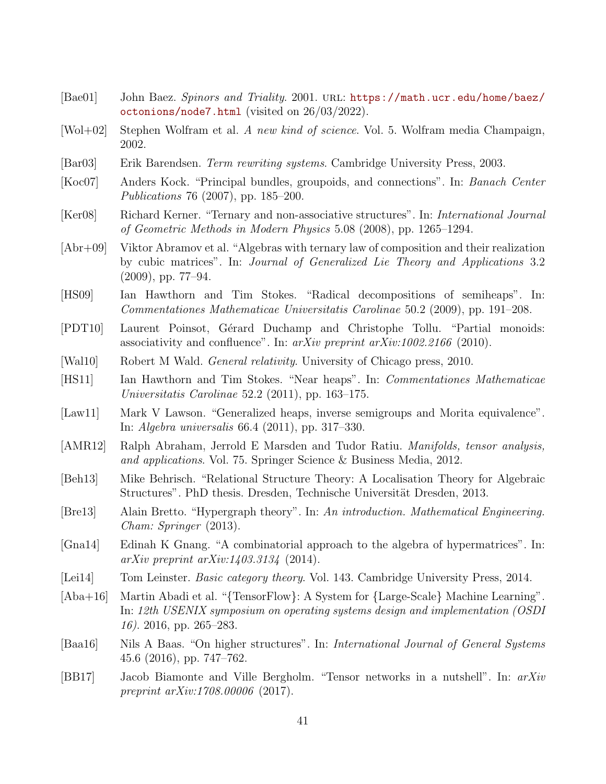- <span id="page-40-16"></span>[Bae01] John Baez. Spinors and Triality. 2001. URL: [https://math.ucr.edu/home/baez/](https://math.ucr.edu/home/baez/octonions/node7.html) [octonions/node7.html](https://math.ucr.edu/home/baez/octonions/node7.html) (visited on 26/03/2022).
- <span id="page-40-13"></span>[Wol+02] Stephen Wolfram et al. A new kind of science. Vol. 5. Wolfram media Champaign, 2002.
- <span id="page-40-10"></span>[Bar03] Erik Barendsen. Term rewriting systems. Cambridge University Press, 2003.
- <span id="page-40-8"></span>[Koc07] Anders Kock. "Principal bundles, groupoids, and connections". In: Banach Center Publications 76 (2007), pp. 185–200.
- <span id="page-40-5"></span>[Ker08] Richard Kerner. "Ternary and non-associative structures". In: International Journal of Geometric Methods in Modern Physics 5.08 (2008), pp. 1265–1294.
- <span id="page-40-6"></span>[Abr+09] Viktor Abramov et al. "Algebras with ternary law of composition and their realization by cubic matrices". In: Journal of Generalized Lie Theory and Applications 3.2 (2009), pp. 77–94.
- <span id="page-40-14"></span>[HS09] Ian Hawthorn and Tim Stokes. "Radical decompositions of semiheaps". In: Commentationes Mathematicae Universitatis Carolinae 50.2 (2009), pp. 191–208.
- <span id="page-40-11"></span>[PDT10] Laurent Poinsot, Gérard Duchamp and Christophe Tollu. "Partial monoids: associativity and confluence". In: arXiv preprint arXiv:1002.2166 (2010).
- <span id="page-40-0"></span>[Wal10] Robert M Wald. General relativity. University of Chicago press, 2010.
- <span id="page-40-9"></span>[HS11] Ian Hawthorn and Tim Stokes. "Near heaps". In: Commentationes Mathematicae Universitatis Carolinae 52.2 (2011), pp. 163–175.
- <span id="page-40-7"></span>[Law11] Mark V Lawson. "Generalized heaps, inverse semigroups and Morita equivalence". In: Algebra universalis 66.4 (2011), pp. 317–330.
- <span id="page-40-1"></span>[AMR12] Ralph Abraham, Jerrold E Marsden and Tudor Ratiu. Manifolds, tensor analysis, and applications. Vol. 75. Springer Science & Business Media, 2012.
- <span id="page-40-3"></span>[Beh13] Mike Behrisch. "Relational Structure Theory: A Localisation Theory for Algebraic Structures". PhD thesis. Dresden, Technische Universität Dresden, 2013.
- <span id="page-40-17"></span>[Bre13] Alain Bretto. "Hypergraph theory". In: An introduction. Mathematical Engineering. Cham: Springer (2013).
- <span id="page-40-12"></span>[Gna14] Edinah K Gnang. "A combinatorial approach to the algebra of hypermatrices". In:  $arXiv$  preprint  $arXiv:1403.3134$  (2014).
- <span id="page-40-4"></span>[Lei14] Tom Leinster. *Basic category theory.* Vol. 143. Cambridge University Press, 2014.
- <span id="page-40-15"></span>[Aba+16] Martin Abadi et al. "{TensorFlow}: A System for {Large-Scale} Machine Learning". In: 12th USENIX symposium on operating systems design and implementation (OSDI 16). 2016, pp. 265–283.
- <span id="page-40-18"></span>[Baa16] Nils A Baas. "On higher structures". In: International Journal of General Systems 45.6 (2016), pp. 747–762.
- <span id="page-40-2"></span>[BB17] Jacob Biamonte and Ville Bergholm. "Tensor networks in a nutshell". In: arXiv preprint  $arXiv:1708.00006$  (2017).